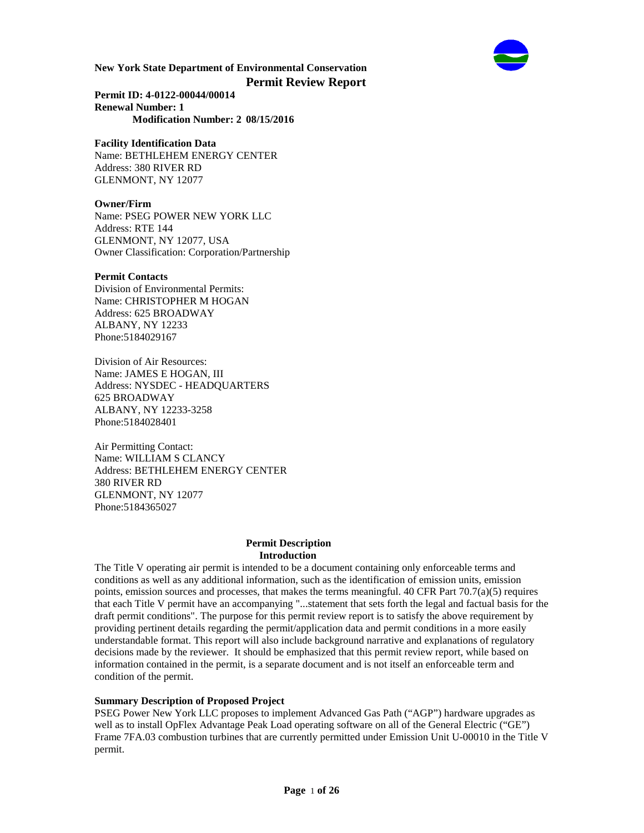

**Permit ID: 4-0122-00044/00014 Renewal Number: 1 Modification Number: 2 08/15/2016**

# **Facility Identification Data**

Name: BETHLEHEM ENERGY CENTER Address: 380 RIVER RD GLENMONT, NY 12077

# **Owner/Firm**

Name: PSEG POWER NEW YORK LLC Address: RTE 144 GLENMONT, NY 12077, USA Owner Classification: Corporation/Partnership

### **Permit Contacts**

Division of Environmental Permits: Name: CHRISTOPHER M HOGAN Address: 625 BROADWAY ALBANY, NY 12233 Phone:5184029167

Division of Air Resources: Name: JAMES E HOGAN, III Address: NYSDEC - HEADQUARTERS 625 BROADWAY ALBANY, NY 12233-3258 Phone:5184028401

Air Permitting Contact: Name: WILLIAM S CLANCY Address: BETHLEHEM ENERGY CENTER 380 RIVER RD GLENMONT, NY 12077 Phone:5184365027

#### **Permit Description Introduction**

The Title V operating air permit is intended to be a document containing only enforceable terms and conditions as well as any additional information, such as the identification of emission units, emission points, emission sources and processes, that makes the terms meaningful. 40 CFR Part  $70.7(a)(5)$  requires that each Title V permit have an accompanying "...statement that sets forth the legal and factual basis for the draft permit conditions". The purpose for this permit review report is to satisfy the above requirement by providing pertinent details regarding the permit/application data and permit conditions in a more easily understandable format. This report will also include background narrative and explanations of regulatory decisions made by the reviewer. It should be emphasized that this permit review report, while based on information contained in the permit, is a separate document and is not itself an enforceable term and condition of the permit.

# **Summary Description of Proposed Project**

PSEG Power New York LLC proposes to implement Advanced Gas Path ("AGP") hardware upgrades as well as to install OpFlex Advantage Peak Load operating software on all of the General Electric ("GE") Frame 7FA.03 combustion turbines that are currently permitted under Emission Unit U-00010 in the Title V permit.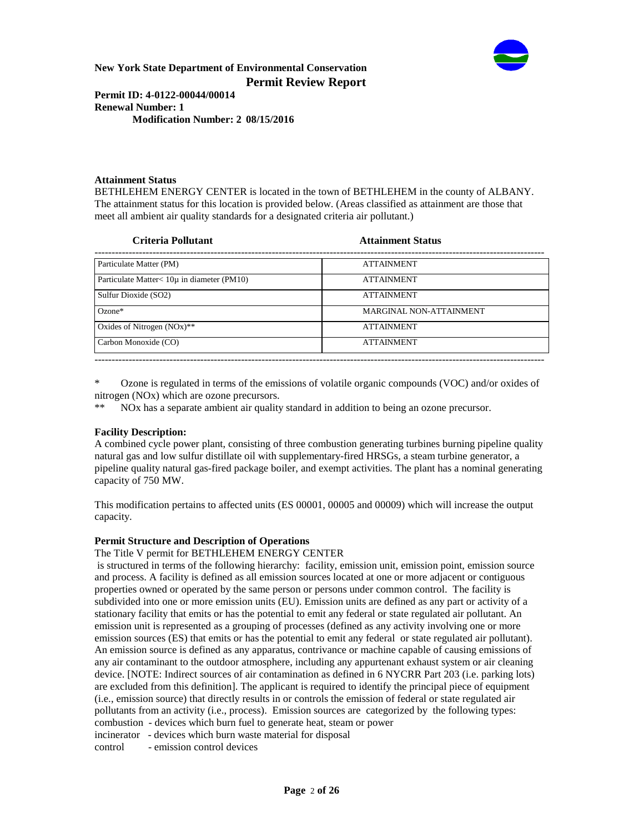

**Permit ID: 4-0122-00044/00014 Renewal Number: 1 Modification Number: 2 08/15/2016**

### **Attainment Status**

BETHLEHEM ENERGY CENTER is located in the town of BETHLEHEM in the county of ALBANY. The attainment status for this location is provided below. (Areas classified as attainment are those that meet all ambient air quality standards for a designated criteria air pollutant.)

| Criteria Pollutant                              | <b>Attainment Status</b> |  |
|-------------------------------------------------|--------------------------|--|
| Particulate Matter (PM)                         | <b>ATTAINMENT</b>        |  |
| Particulate Matter $< 10\mu$ in diameter (PM10) | <b>ATTAINMENT</b>        |  |
| Sulfur Dioxide (SO2)                            | <b>ATTAINMENT</b>        |  |
| $Ozone*$                                        | MARGINAL NON-ATTAINMENT  |  |
| Oxides of Nitrogen $(NOx)$ **                   | <b>ATTAINMENT</b>        |  |
| Carbon Monoxide (CO)                            | <b>ATTAINMENT</b>        |  |
|                                                 |                          |  |

\* Ozone is regulated in terms of the emissions of volatile organic compounds (VOC) and/or oxides of nitrogen (NOx) which are ozone precursors.

NO<sub>x</sub> has a separate ambient air quality standard in addition to being an ozone precursor.

#### **Facility Description:**

A combined cycle power plant, consisting of three combustion generating turbines burning pipeline quality natural gas and low sulfur distillate oil with supplementary-fired HRSGs, a steam turbine generator, a pipeline quality natural gas-fired package boiler, and exempt activities. The plant has a nominal generating capacity of 750 MW.

This modification pertains to affected units (ES 00001, 00005 and 00009) which will increase the output capacity.

#### **Permit Structure and Description of Operations**

The Title V permit for BETHLEHEM ENERGY CENTER

 is structured in terms of the following hierarchy: facility, emission unit, emission point, emission source and process. A facility is defined as all emission sources located at one or more adjacent or contiguous properties owned or operated by the same person or persons under common control. The facility is subdivided into one or more emission units (EU). Emission units are defined as any part or activity of a stationary facility that emits or has the potential to emit any federal or state regulated air pollutant. An emission unit is represented as a grouping of processes (defined as any activity involving one or more emission sources (ES) that emits or has the potential to emit any federal or state regulated air pollutant). An emission source is defined as any apparatus, contrivance or machine capable of causing emissions of any air contaminant to the outdoor atmosphere, including any appurtenant exhaust system or air cleaning device. [NOTE: Indirect sources of air contamination as defined in 6 NYCRR Part 203 (i.e. parking lots) are excluded from this definition]. The applicant is required to identify the principal piece of equipment (i.e., emission source) that directly results in or controls the emission of federal or state regulated air pollutants from an activity (i.e., process). Emission sources are categorized by the following types: combustion - devices which burn fuel to generate heat, steam or power incinerator - devices which burn waste material for disposal control - emission control devices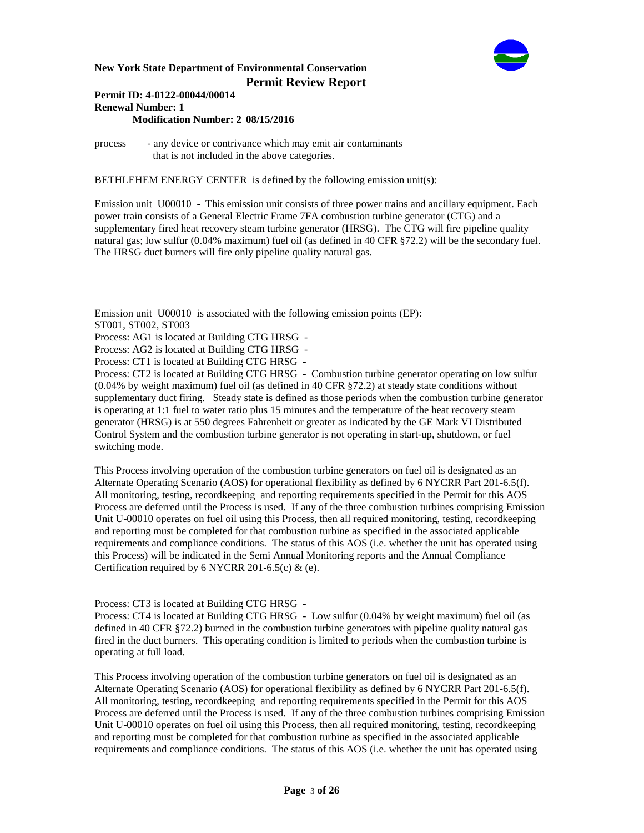

#### **Permit ID: 4-0122-00044/00014 Renewal Number: 1 Modification Number: 2 08/15/2016**

process - any device or contrivance which may emit air contaminants that is not included in the above categories.

BETHLEHEM ENERGY CENTER is defined by the following emission unit(s):

Emission unit U00010 - This emission unit consists of three power trains and ancillary equipment. Each power train consists of a General Electric Frame 7FA combustion turbine generator (CTG) and a supplementary fired heat recovery steam turbine generator (HRSG). The CTG will fire pipeline quality natural gas; low sulfur (0.04% maximum) fuel oil (as defined in 40 CFR §72.2) will be the secondary fuel. The HRSG duct burners will fire only pipeline quality natural gas.

Emission unit U00010 is associated with the following emission points (EP): ST001, ST002, ST003

Process: AG1 is located at Building CTG HRSG -

Process: AG2 is located at Building CTG HRSG -

Process: CT1 is located at Building CTG HRSG -

Process: CT2 is located at Building CTG HRSG - Combustion turbine generator operating on low sulfur (0.04% by weight maximum) fuel oil (as defined in 40 CFR §72.2) at steady state conditions without supplementary duct firing. Steady state is defined as those periods when the combustion turbine generator is operating at 1:1 fuel to water ratio plus 15 minutes and the temperature of the heat recovery steam generator (HRSG) is at 550 degrees Fahrenheit or greater as indicated by the GE Mark VI Distributed Control System and the combustion turbine generator is not operating in start-up, shutdown, or fuel switching mode.

This Process involving operation of the combustion turbine generators on fuel oil is designated as an Alternate Operating Scenario (AOS) for operational flexibility as defined by 6 NYCRR Part 201-6.5(f). All monitoring, testing, recordkeeping and reporting requirements specified in the Permit for this AOS Process are deferred until the Process is used. If any of the three combustion turbines comprising Emission Unit U-00010 operates on fuel oil using this Process, then all required monitoring, testing, recordkeeping and reporting must be completed for that combustion turbine as specified in the associated applicable requirements and compliance conditions. The status of this AOS (i.e. whether the unit has operated using this Process) will be indicated in the Semi Annual Monitoring reports and the Annual Compliance Certification required by 6 NYCRR 201-6.5(c)  $\&$  (e).

Process: CT3 is located at Building CTG HRSG -

Process: CT4 is located at Building CTG HRSG - Low sulfur (0.04% by weight maximum) fuel oil (as defined in 40 CFR §72.2) burned in the combustion turbine generators with pipeline quality natural gas fired in the duct burners. This operating condition is limited to periods when the combustion turbine is operating at full load.

This Process involving operation of the combustion turbine generators on fuel oil is designated as an Alternate Operating Scenario (AOS) for operational flexibility as defined by 6 NYCRR Part 201-6.5(f). All monitoring, testing, recordkeeping and reporting requirements specified in the Permit for this AOS Process are deferred until the Process is used. If any of the three combustion turbines comprising Emission Unit U-00010 operates on fuel oil using this Process, then all required monitoring, testing, recordkeeping and reporting must be completed for that combustion turbine as specified in the associated applicable requirements and compliance conditions. The status of this AOS (i.e. whether the unit has operated using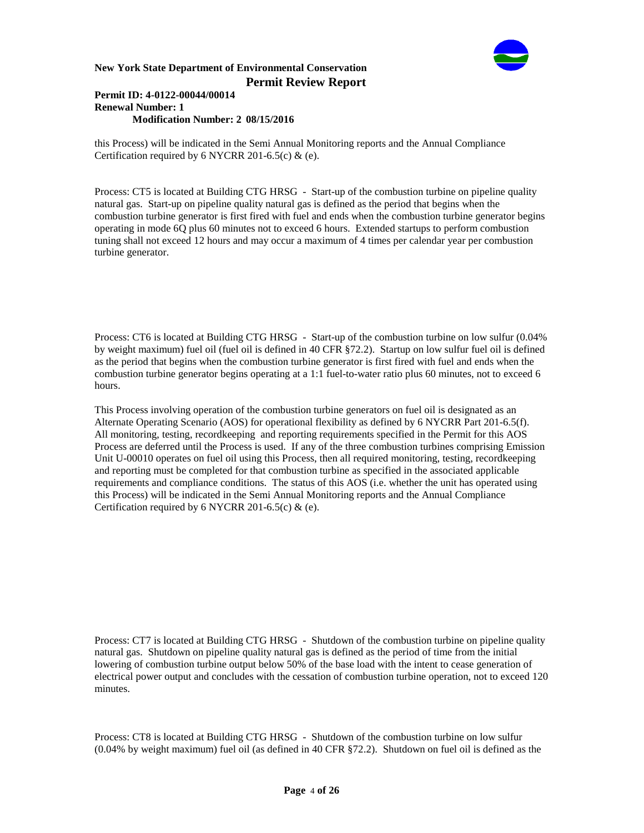

#### **Permit ID: 4-0122-00044/00014 Renewal Number: 1 Modification Number: 2 08/15/2016**

this Process) will be indicated in the Semi Annual Monitoring reports and the Annual Compliance Certification required by 6 NYCRR 201-6.5(c)  $\&$  (e).

Process: CT5 is located at Building CTG HRSG - Start-up of the combustion turbine on pipeline quality natural gas. Start-up on pipeline quality natural gas is defined as the period that begins when the combustion turbine generator is first fired with fuel and ends when the combustion turbine generator begins operating in mode 6Q plus 60 minutes not to exceed 6 hours. Extended startups to perform combustion tuning shall not exceed 12 hours and may occur a maximum of 4 times per calendar year per combustion turbine generator.

Process: CT6 is located at Building CTG HRSG - Start-up of the combustion turbine on low sulfur (0.04% by weight maximum) fuel oil (fuel oil is defined in 40 CFR §72.2). Startup on low sulfur fuel oil is defined as the period that begins when the combustion turbine generator is first fired with fuel and ends when the combustion turbine generator begins operating at a 1:1 fuel-to-water ratio plus 60 minutes, not to exceed 6 hours.

This Process involving operation of the combustion turbine generators on fuel oil is designated as an Alternate Operating Scenario (AOS) for operational flexibility as defined by 6 NYCRR Part 201-6.5(f). All monitoring, testing, recordkeeping and reporting requirements specified in the Permit for this AOS Process are deferred until the Process is used. If any of the three combustion turbines comprising Emission Unit U-00010 operates on fuel oil using this Process, then all required monitoring, testing, recordkeeping and reporting must be completed for that combustion turbine as specified in the associated applicable requirements and compliance conditions. The status of this AOS (i.e. whether the unit has operated using this Process) will be indicated in the Semi Annual Monitoring reports and the Annual Compliance Certification required by 6 NYCRR 201-6.5(c) & (e).

Process: CT7 is located at Building CTG HRSG - Shutdown of the combustion turbine on pipeline quality natural gas. Shutdown on pipeline quality natural gas is defined as the period of time from the initial lowering of combustion turbine output below 50% of the base load with the intent to cease generation of electrical power output and concludes with the cessation of combustion turbine operation, not to exceed 120 minutes.

Process: CT8 is located at Building CTG HRSG - Shutdown of the combustion turbine on low sulfur (0.04% by weight maximum) fuel oil (as defined in 40 CFR §72.2). Shutdown on fuel oil is defined as the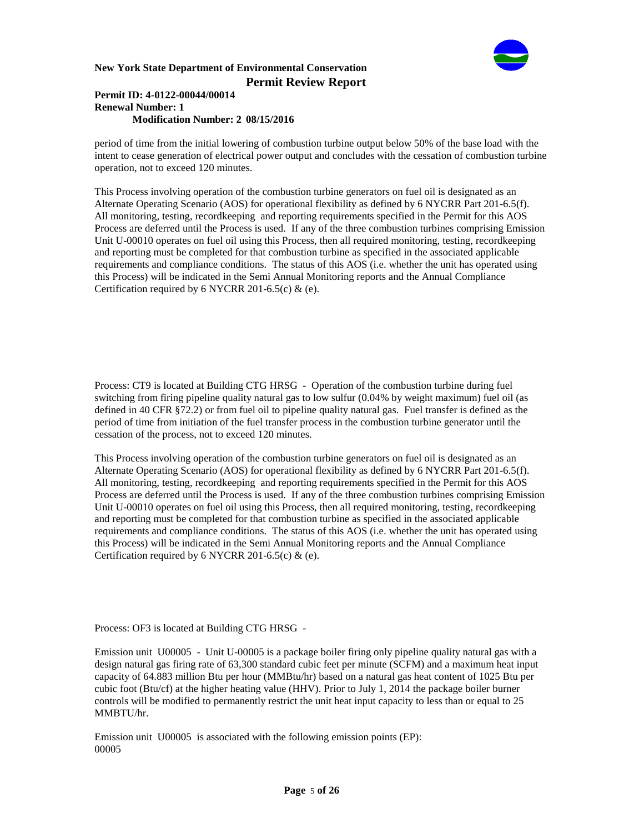

#### **Permit ID: 4-0122-00044/00014 Renewal Number: 1 Modification Number: 2 08/15/2016**

period of time from the initial lowering of combustion turbine output below 50% of the base load with the intent to cease generation of electrical power output and concludes with the cessation of combustion turbine operation, not to exceed 120 minutes.

This Process involving operation of the combustion turbine generators on fuel oil is designated as an Alternate Operating Scenario (AOS) for operational flexibility as defined by 6 NYCRR Part 201-6.5(f). All monitoring, testing, recordkeeping and reporting requirements specified in the Permit for this AOS Process are deferred until the Process is used. If any of the three combustion turbines comprising Emission Unit U-00010 operates on fuel oil using this Process, then all required monitoring, testing, recordkeeping and reporting must be completed for that combustion turbine as specified in the associated applicable requirements and compliance conditions. The status of this AOS (i.e. whether the unit has operated using this Process) will be indicated in the Semi Annual Monitoring reports and the Annual Compliance Certification required by 6 NYCRR 201-6.5(c)  $\&$  (e).

Process: CT9 is located at Building CTG HRSG - Operation of the combustion turbine during fuel switching from firing pipeline quality natural gas to low sulfur (0.04% by weight maximum) fuel oil (as defined in 40 CFR §72.2) or from fuel oil to pipeline quality natural gas. Fuel transfer is defined as the period of time from initiation of the fuel transfer process in the combustion turbine generator until the cessation of the process, not to exceed 120 minutes.

This Process involving operation of the combustion turbine generators on fuel oil is designated as an Alternate Operating Scenario (AOS) for operational flexibility as defined by 6 NYCRR Part 201-6.5(f). All monitoring, testing, recordkeeping and reporting requirements specified in the Permit for this AOS Process are deferred until the Process is used. If any of the three combustion turbines comprising Emission Unit U-00010 operates on fuel oil using this Process, then all required monitoring, testing, recordkeeping and reporting must be completed for that combustion turbine as specified in the associated applicable requirements and compliance conditions. The status of this AOS (i.e. whether the unit has operated using this Process) will be indicated in the Semi Annual Monitoring reports and the Annual Compliance Certification required by 6 NYCRR 201-6.5(c)  $\&$  (e).

Process: OF3 is located at Building CTG HRSG -

Emission unit U00005 - Unit U-00005 is a package boiler firing only pipeline quality natural gas with a design natural gas firing rate of 63,300 standard cubic feet per minute (SCFM) and a maximum heat input capacity of 64.883 million Btu per hour (MMBtu/hr) based on a natural gas heat content of 1025 Btu per cubic foot (Btu/cf) at the higher heating value (HHV). Prior to July 1, 2014 the package boiler burner controls will be modified to permanently restrict the unit heat input capacity to less than or equal to 25 MMBTU/hr.

Emission unit U00005 is associated with the following emission points (EP): 00005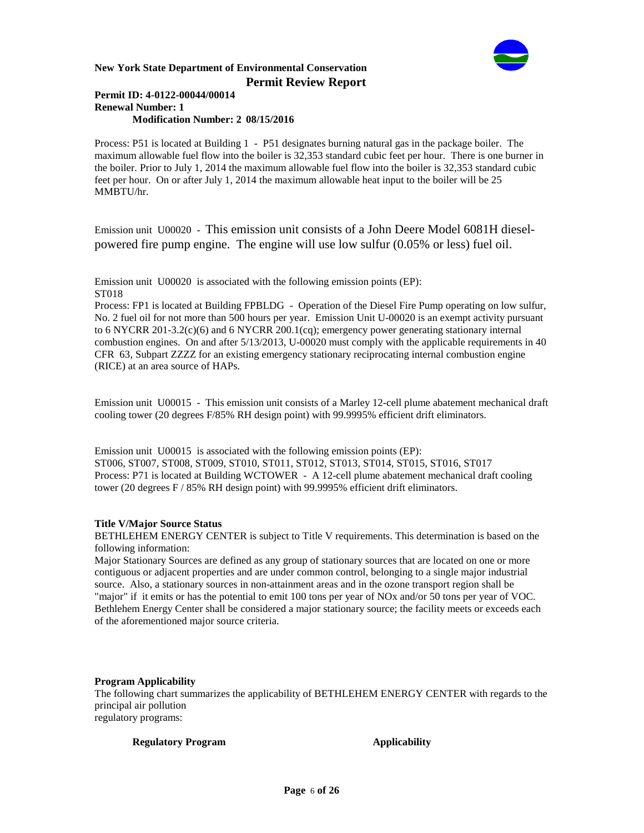

#### **Permit ID: 4-0122-00044/00014 Renewal Number: 1 Modification Number: 2 08/15/2016**

Process: P51 is located at Building 1 - P51 designates burning natural gas in the package boiler. The maximum allowable fuel flow into the boiler is 32,353 standard cubic feet per hour. There is one burner in the boiler. Prior to July 1, 2014 the maximum allowable fuel flow into the boiler is 32,353 standard cubic feet per hour. On or after July 1, 2014 the maximum allowable heat input to the boiler will be 25 MMBTU/hr.

Emission unit U00020 - This emission unit consists of a John Deere Model 6081H dieselpowered fire pump engine. The engine will use low sulfur (0.05% or less) fuel oil.

Emission unit U00020 is associated with the following emission points (EP): ST018

Process: FP1 is located at Building FPBLDG - Operation of the Diesel Fire Pump operating on low sulfur, No. 2 fuel oil for not more than 500 hours per year. Emission Unit U-00020 is an exempt activity pursuant to 6 NYCRR 201-3.2(c)(6) and 6 NYCRR 200.1(cq); emergency power generating stationary internal combustion engines. On and after 5/13/2013, U-00020 must comply with the applicable requirements in 40 CFR 63, Subpart ZZZZ for an existing emergency stationary reciprocating internal combustion engine (RICE) at an area source of HAPs.

Emission unit U00015 - This emission unit consists of a Marley 12-cell plume abatement mechanical draft cooling tower (20 degrees F/85% RH design point) with 99.9995% efficient drift eliminators.

Emission unit U00015 is associated with the following emission points (EP): ST006, ST007, ST008, ST009, ST010, ST011, ST012, ST013, ST014, ST015, ST016, ST017 Process: P71 is located at Building WCTOWER - A 12-cell plume abatement mechanical draft cooling tower (20 degrees F / 85% RH design point) with 99.9995% efficient drift eliminators.

# **Title V/Major Source Status**

BETHLEHEM ENERGY CENTER is subject to Title V requirements. This determination is based on the following information:

Major Stationary Sources are defined as any group of stationary sources that are located on one or more contiguous or adjacent properties and are under common control, belonging to a single major industrial source. Also, a stationary sources in non-attainment areas and in the ozone transport region shall be "major" if it emits or has the potential to emit 100 tons per year of NOx and/or 50 tons per year of VOC. Bethlehem Energy Center shall be considered a major stationary source; the facility meets or exceeds each of the aforementioned major source criteria.

#### **Program Applicability**

The following chart summarizes the applicability of BETHLEHEM ENERGY CENTER with regards to the principal air pollution regulatory programs:

**Regulatory Program Applicability**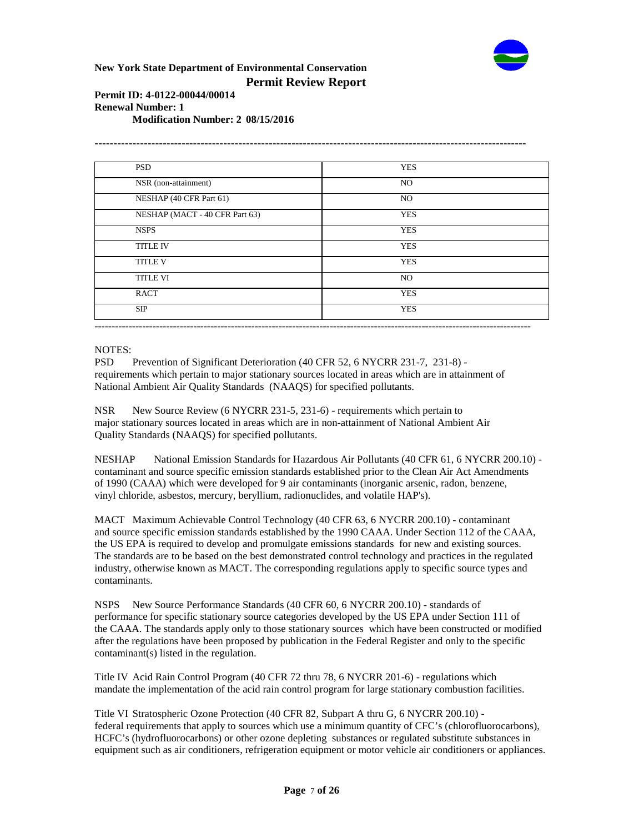

# **Permit ID: 4-0122-00044/00014 Renewal Number: 1**

**Modification Number: 2 08/15/2016**

| <b>PSD</b>                     | <b>YES</b> |
|--------------------------------|------------|
| NSR (non-attainment)           | NO         |
| NESHAP (40 CFR Part 61)        | NO         |
| NESHAP (MACT - 40 CFR Part 63) | <b>YES</b> |
| <b>NSPS</b>                    | <b>YES</b> |
| <b>TITLE IV</b>                | <b>YES</b> |
| <b>TITLE V</b>                 | <b>YES</b> |
| <b>TITLE VI</b>                | NO         |
| <b>RACT</b>                    | <b>YES</b> |
| SIP                            | <b>YES</b> |

# NOTES:

PSD Prevention of Significant Deterioration (40 CFR 52, 6 NYCRR 231-7, 231-8) requirements which pertain to major stationary sources located in areas which are in attainment of National Ambient Air Quality Standards (NAAQS) for specified pollutants.

NSR New Source Review (6 NYCRR 231-5, 231-6) - requirements which pertain to major stationary sources located in areas which are in non-attainment of National Ambient Air Quality Standards (NAAQS) for specified pollutants.

NESHAP National Emission Standards for Hazardous Air Pollutants (40 CFR 61, 6 NYCRR 200.10) contaminant and source specific emission standards established prior to the Clean Air Act Amendments of 1990 (CAAA) which were developed for 9 air contaminants (inorganic arsenic, radon, benzene, vinyl chloride, asbestos, mercury, beryllium, radionuclides, and volatile HAP's).

MACT Maximum Achievable Control Technology (40 CFR 63, 6 NYCRR 200.10) - contaminant and source specific emission standards established by the 1990 CAAA. Under Section 112 of the CAAA, the US EPA is required to develop and promulgate emissions standards for new and existing sources. The standards are to be based on the best demonstrated control technology and practices in the regulated industry, otherwise known as MACT. The corresponding regulations apply to specific source types and contaminants.

NSPS New Source Performance Standards (40 CFR 60, 6 NYCRR 200.10) - standards of performance for specific stationary source categories developed by the US EPA under Section 111 of the CAAA. The standards apply only to those stationary sources which have been constructed or modified after the regulations have been proposed by publication in the Federal Register and only to the specific contaminant(s) listed in the regulation.

Title IV Acid Rain Control Program (40 CFR 72 thru 78, 6 NYCRR 201-6) - regulations which mandate the implementation of the acid rain control program for large stationary combustion facilities.

Title VI Stratospheric Ozone Protection (40 CFR 82, Subpart A thru G, 6 NYCRR 200.10) federal requirements that apply to sources which use a minimum quantity of CFC's (chlorofluorocarbons), HCFC's (hydrofluorocarbons) or other ozone depleting substances or regulated substitute substances in equipment such as air conditioners, refrigeration equipment or motor vehicle air conditioners or appliances.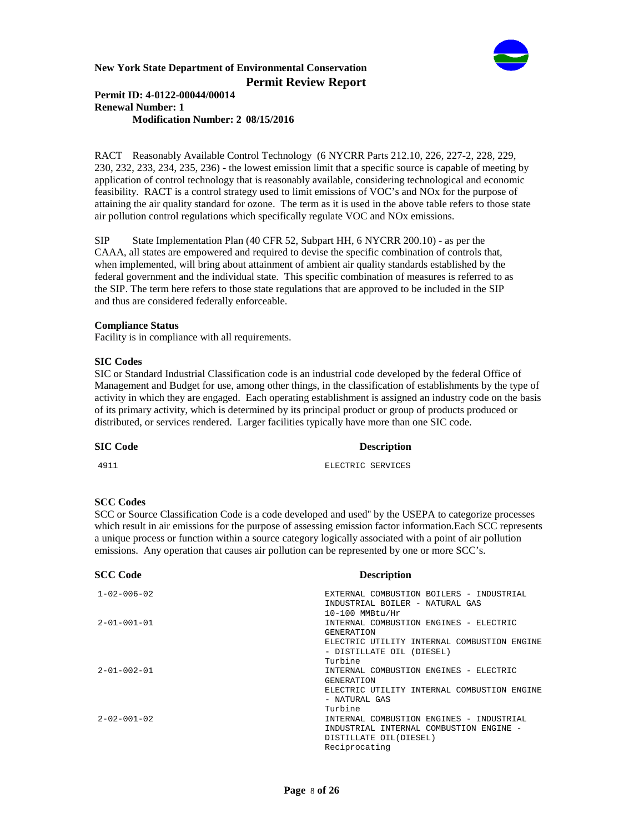

#### **Permit ID: 4-0122-00044/00014 Renewal Number: 1 Modification Number: 2 08/15/2016**

RACT Reasonably Available Control Technology (6 NYCRR Parts 212.10, 226, 227-2, 228, 229, 230, 232, 233, 234, 235, 236) - the lowest emission limit that a specific source is capable of meeting by application of control technology that is reasonably available, considering technological and economic feasibility. RACT is a control strategy used to limit emissions of VOC's and NOx for the purpose of attaining the air quality standard for ozone. The term as it is used in the above table refers to those state air pollution control regulations which specifically regulate VOC and NOx emissions.

SIP State Implementation Plan (40 CFR 52, Subpart HH, 6 NYCRR 200.10) - as per the CAAA, all states are empowered and required to devise the specific combination of controls that, when implemented, will bring about attainment of ambient air quality standards established by the federal government and the individual state. This specific combination of measures is referred to as the SIP. The term here refers to those state regulations that are approved to be included in the SIP and thus are considered federally enforceable.

#### **Compliance Status**

Facility is in compliance with all requirements.

#### **SIC Codes**

SIC or Standard Industrial Classification code is an industrial code developed by the federal Office of Management and Budget for use, among other things, in the classification of establishments by the type of activity in which they are engaged. Each operating establishment is assigned an industry code on the basis of its primary activity, which is determined by its principal product or group of products produced or distributed, or services rendered. Larger facilities typically have more than one SIC code.

# **SIC Code Description** 4911 ELECTRIC SERVICES

#### **SCC Codes**

SCC or Source Classification Code is a code developed and used'' by the USEPA to categorize processes which result in air emissions for the purpose of assessing emission factor information.Each SCC represents a unique process or function within a source category logically associated with a point of air pollution emissions. Any operation that causes air pollution can be represented by one or more SCC's.

| <b>SCC Code</b>     | <b>Description</b>                          |
|---------------------|---------------------------------------------|
| $1 - 02 - 006 - 02$ | EXTERNAL COMBUSTION BOILERS - INDUSTRIAL    |
|                     | INDUSTRIAL BOILER - NATURAL GAS             |
|                     | 10-100 MMBtu/Hr                             |
| $2 - 01 - 001 - 01$ | INTERNAL COMBUSTION ENGINES - ELECTRIC      |
|                     | <b>GENERATION</b>                           |
|                     | ELECTRIC UTILITY INTERNAL COMBUSTION ENGINE |
|                     | - DISTILLATE OIL (DIESEL)                   |
|                     | Turbine                                     |
| $2 - 01 - 002 - 01$ | INTERNAL COMBUSTION ENGINES - ELECTRIC      |
|                     | <b>GENERATION</b>                           |
|                     | ELECTRIC UTILITY INTERNAL COMBUSTION ENGINE |
|                     | - NATURAL GAS                               |
|                     | Turbine                                     |
| $2 - 02 - 001 - 02$ | INTERNAL COMBUSTION ENGINES - INDUSTRIAL    |
|                     | INDUSTRIAL INTERNAL COMBUSTION ENGINE -     |
|                     | DISTILLATE OIL(DIESEL)                      |
|                     | Reciprocating                               |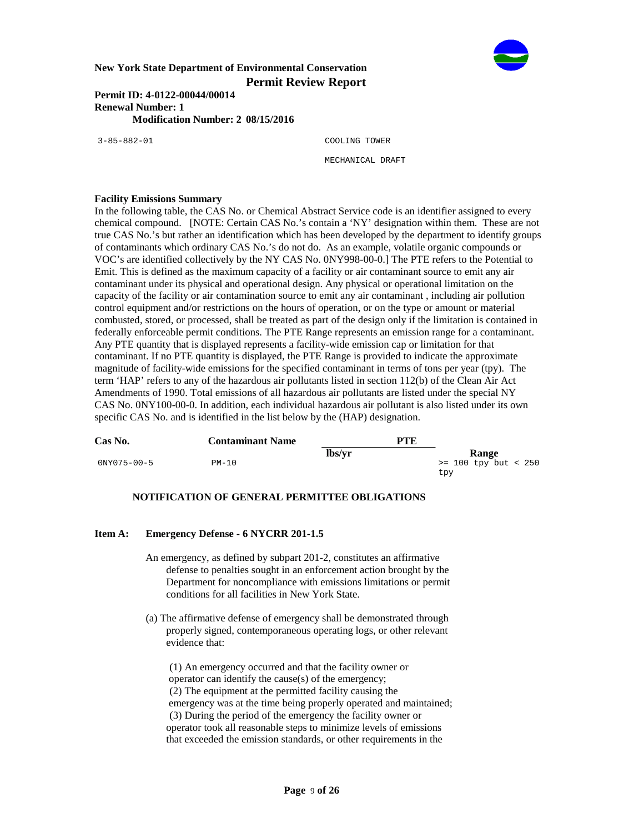

**Permit ID: 4-0122-00044/00014 Renewal Number: 1 Modification Number: 2 08/15/2016**

3-85-882-01 COOLING TOWER MECHANICAL DRAFT

#### **Facility Emissions Summary**

In the following table, the CAS No. or Chemical Abstract Service code is an identifier assigned to every chemical compound. [NOTE: Certain CAS No.'s contain a 'NY' designation within them. These are not true CAS No.'s but rather an identification which has been developed by the department to identify groups of contaminants which ordinary CAS No.'s do not do. As an example, volatile organic compounds or VOC's are identified collectively by the NY CAS No. 0NY998-00-0.] The PTE refers to the Potential to Emit. This is defined as the maximum capacity of a facility or air contaminant source to emit any air contaminant under its physical and operational design. Any physical or operational limitation on the capacity of the facility or air contamination source to emit any air contaminant , including air pollution control equipment and/or restrictions on the hours of operation, or on the type or amount or material combusted, stored, or processed, shall be treated as part of the design only if the limitation is contained in federally enforceable permit conditions. The PTE Range represents an emission range for a contaminant. Any PTE quantity that is displayed represents a facility-wide emission cap or limitation for that contaminant. If no PTE quantity is displayed, the PTE Range is provided to indicate the approximate magnitude of facility-wide emissions for the specified contaminant in terms of tons per year (tpy). The term 'HAP' refers to any of the hazardous air pollutants listed in section 112(b) of the Clean Air Act Amendments of 1990. Total emissions of all hazardous air pollutants are listed under the special NY CAS No. 0NY100-00-0. In addition, each individual hazardous air pollutant is also listed under its own specific CAS No. and is identified in the list below by the (HAP) designation.

| Cas No.     | <b>Contaminant Name</b> | PTE    |                        |
|-------------|-------------------------|--------|------------------------|
|             |                         | lbs/vr | Range                  |
| 0NY075-00-5 | $PM-10$                 |        | $>= 100$ tpy but < 250 |
|             |                         |        | tpy                    |

# **NOTIFICATION OF GENERAL PERMITTEE OBLIGATIONS**

### **Item A: Emergency Defense - 6 NYCRR 201-1.5**

- An emergency, as defined by subpart 201-2, constitutes an affirmative defense to penalties sought in an enforcement action brought by the Department for noncompliance with emissions limitations or permit conditions for all facilities in New York State.
- (a) The affirmative defense of emergency shall be demonstrated through properly signed, contemporaneous operating logs, or other relevant evidence that:

 (1) An emergency occurred and that the facility owner or operator can identify the cause(s) of the emergency; (2) The equipment at the permitted facility causing the emergency was at the time being properly operated and maintained; (3) During the period of the emergency the facility owner or operator took all reasonable steps to minimize levels of emissions that exceeded the emission standards, or other requirements in the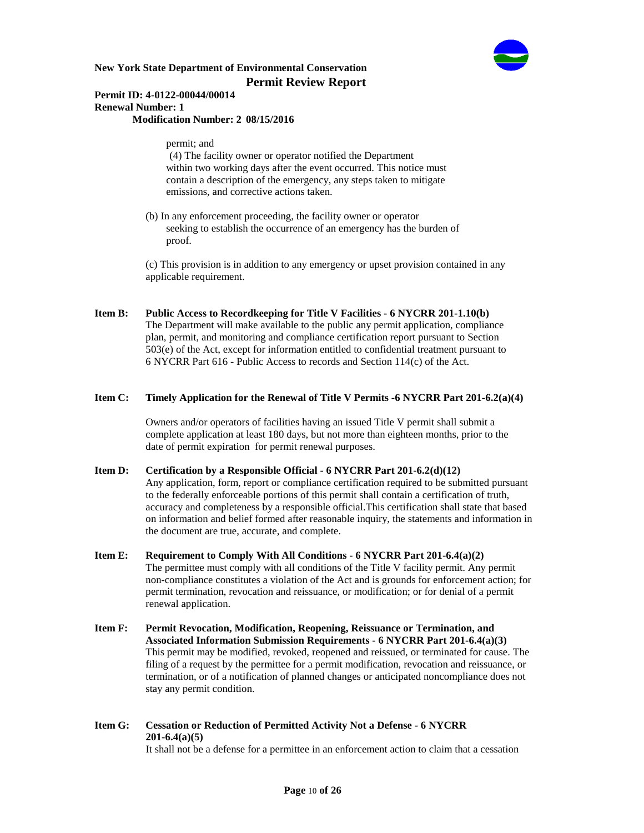

# **Permit ID: 4-0122-00044/00014 Renewal Number: 1**

**Modification Number: 2 08/15/2016**

permit; and

 (4) The facility owner or operator notified the Department within two working days after the event occurred. This notice must contain a description of the emergency, any steps taken to mitigate emissions, and corrective actions taken.

 (b) In any enforcement proceeding, the facility owner or operator seeking to establish the occurrence of an emergency has the burden of proof.

 (c) This provision is in addition to any emergency or upset provision contained in any applicable requirement.

**Item B: Public Access to Recordkeeping for Title V Facilities - 6 NYCRR 201-1.10(b)** The Department will make available to the public any permit application, compliance plan, permit, and monitoring and compliance certification report pursuant to Section 503(e) of the Act, except for information entitled to confidential treatment pursuant to

# **Item C: Timely Application for the Renewal of Title V Permits -6 NYCRR Part 201-6.2(a)(4)**

6 NYCRR Part 616 - Public Access to records and Section 114(c) of the Act.

 Owners and/or operators of facilities having an issued Title V permit shall submit a complete application at least 180 days, but not more than eighteen months, prior to the date of permit expiration for permit renewal purposes.

### **Item D: Certification by a Responsible Official - 6 NYCRR Part 201-6.2(d)(12)** Any application, form, report or compliance certification required to be submitted pursuant to the federally enforceable portions of this permit shall contain a certification of truth, accuracy and completeness by a responsible official.This certification shall state that based on information and belief formed after reasonable inquiry, the statements and information in the document are true, accurate, and complete.

- **Item E: Requirement to Comply With All Conditions 6 NYCRR Part 201-6.4(a)(2)** The permittee must comply with all conditions of the Title V facility permit. Any permit non-compliance constitutes a violation of the Act and is grounds for enforcement action; for permit termination, revocation and reissuance, or modification; or for denial of a permit renewal application.
- **Item F: Permit Revocation, Modification, Reopening, Reissuance or Termination, and Associated Information Submission Requirements - 6 NYCRR Part 201-6.4(a)(3)** This permit may be modified, revoked, reopened and reissued, or terminated for cause. The filing of a request by the permittee for a permit modification, revocation and reissuance, or termination, or of a notification of planned changes or anticipated noncompliance does not stay any permit condition.
- **Item G: Cessation or Reduction of Permitted Activity Not a Defense 6 NYCRR 201-6.4(a)(5)**

It shall not be a defense for a permittee in an enforcement action to claim that a cessation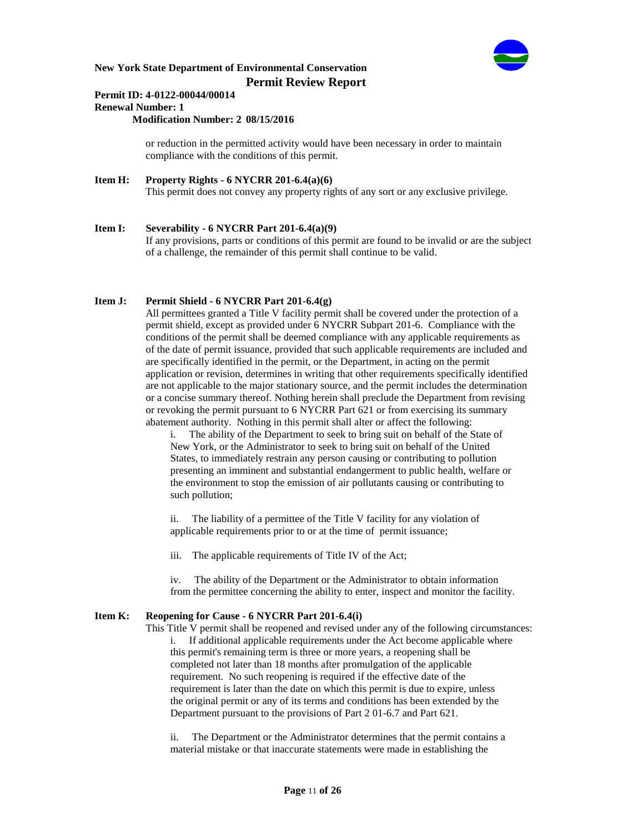

### **Permit ID: 4-0122-00044/00014 Renewal Number: 1**

**Modification Number: 2 08/15/2016**

 or reduction in the permitted activity would have been necessary in order to maintain compliance with the conditions of this permit.

**Item H: Property Rights - 6 NYCRR 201-6.4(a)(6)** This permit does not convey any property rights of any sort or any exclusive privilege.

# **Item I: Severability - 6 NYCRR Part 201-6.4(a)(9)**

 If any provisions, parts or conditions of this permit are found to be invalid or are the subject of a challenge, the remainder of this permit shall continue to be valid.

# **Item J: Permit Shield - 6 NYCRR Part 201-6.4(g)**

 All permittees granted a Title V facility permit shall be covered under the protection of a permit shield, except as provided under 6 NYCRR Subpart 201-6. Compliance with the conditions of the permit shall be deemed compliance with any applicable requirements as of the date of permit issuance, provided that such applicable requirements are included and are specifically identified in the permit, or the Department, in acting on the permit application or revision, determines in writing that other requirements specifically identified are not applicable to the major stationary source, and the permit includes the determination or a concise summary thereof. Nothing herein shall preclude the Department from revising or revoking the permit pursuant to 6 NYCRR Part 621 or from exercising its summary abatement authority. Nothing in this permit shall alter or affect the following:

i. The ability of the Department to seek to bring suit on behalf of the State of New York, or the Administrator to seek to bring suit on behalf of the United States, to immediately restrain any person causing or contributing to pollution presenting an imminent and substantial endangerment to public health, welfare or the environment to stop the emission of air pollutants causing or contributing to such pollution;

ii. The liability of a permittee of the Title V facility for any violation of applicable requirements prior to or at the time of permit issuance;

iii. The applicable requirements of Title IV of the Act;

iv. The ability of the Department or the Administrator to obtain information from the permittee concerning the ability to enter, inspect and monitor the facility.

# **Item K: Reopening for Cause - 6 NYCRR Part 201-6.4(i)**

 This Title V permit shall be reopened and revised under any of the following circumstances: i. If additional applicable requirements under the Act become applicable where this permit's remaining term is three or more years, a reopening shall be completed not later than 18 months after promulgation of the applicable requirement. No such reopening is required if the effective date of the requirement is later than the date on which this permit is due to expire, unless the original permit or any of its terms and conditions has been extended by the Department pursuant to the provisions of Part 2 01-6.7 and Part 621.

ii. The Department or the Administrator determines that the permit contains a material mistake or that inaccurate statements were made in establishing the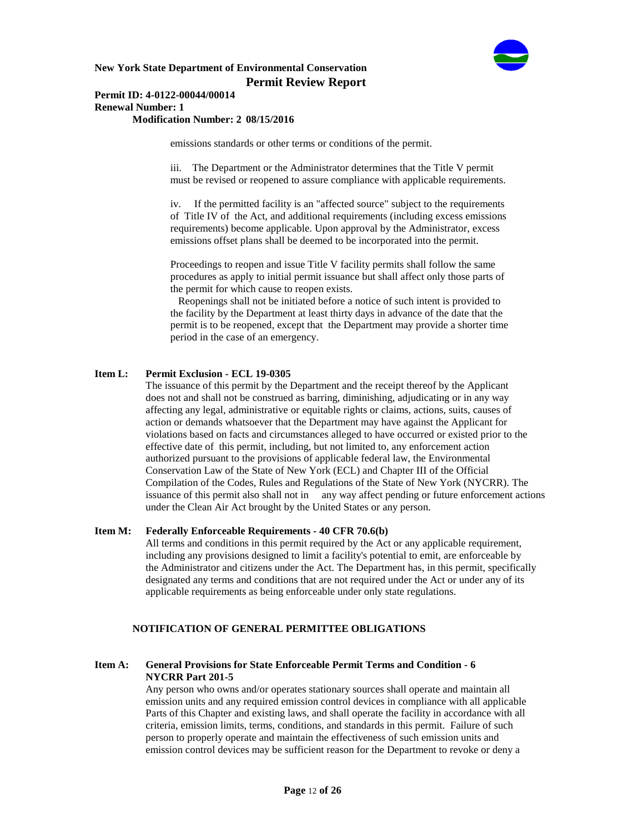

# **Permit ID: 4-0122-00044/00014 Renewal Number: 1**

# **Modification Number: 2 08/15/2016**

emissions standards or other terms or conditions of the permit.

iii. The Department or the Administrator determines that the Title V permit must be revised or reopened to assure compliance with applicable requirements.

iv. If the permitted facility is an "affected source" subject to the requirements of Title IV of the Act, and additional requirements (including excess emissions requirements) become applicable. Upon approval by the Administrator, excess emissions offset plans shall be deemed to be incorporated into the permit.

Proceedings to reopen and issue Title V facility permits shall follow the same procedures as apply to initial permit issuance but shall affect only those parts of the permit for which cause to reopen exists.

 Reopenings shall not be initiated before a notice of such intent is provided to the facility by the Department at least thirty days in advance of the date that the permit is to be reopened, except that the Department may provide a shorter time period in the case of an emergency.

### **Item L: Permit Exclusion - ECL 19-0305**

 The issuance of this permit by the Department and the receipt thereof by the Applicant does not and shall not be construed as barring, diminishing, adjudicating or in any way affecting any legal, administrative or equitable rights or claims, actions, suits, causes of action or demands whatsoever that the Department may have against the Applicant for violations based on facts and circumstances alleged to have occurred or existed prior to the effective date of this permit, including, but not limited to, any enforcement action authorized pursuant to the provisions of applicable federal law, the Environmental Conservation Law of the State of New York (ECL) and Chapter III of the Official Compilation of the Codes, Rules and Regulations of the State of New York (NYCRR). The issuance of this permit also shall not in any way affect pending or future enforcement actions under the Clean Air Act brought by the United States or any person.

### **Item M: Federally Enforceable Requirements - 40 CFR 70.6(b)**

 All terms and conditions in this permit required by the Act or any applicable requirement, including any provisions designed to limit a facility's potential to emit, are enforceable by the Administrator and citizens under the Act. The Department has, in this permit, specifically designated any terms and conditions that are not required under the Act or under any of its applicable requirements as being enforceable under only state regulations.

# **NOTIFICATION OF GENERAL PERMITTEE OBLIGATIONS**

### **Item A: General Provisions for State Enforceable Permit Terms and Condition - 6 NYCRR Part 201-5**

 Any person who owns and/or operates stationary sources shall operate and maintain all emission units and any required emission control devices in compliance with all applicable Parts of this Chapter and existing laws, and shall operate the facility in accordance with all criteria, emission limits, terms, conditions, and standards in this permit. Failure of such person to properly operate and maintain the effectiveness of such emission units and emission control devices may be sufficient reason for the Department to revoke or deny a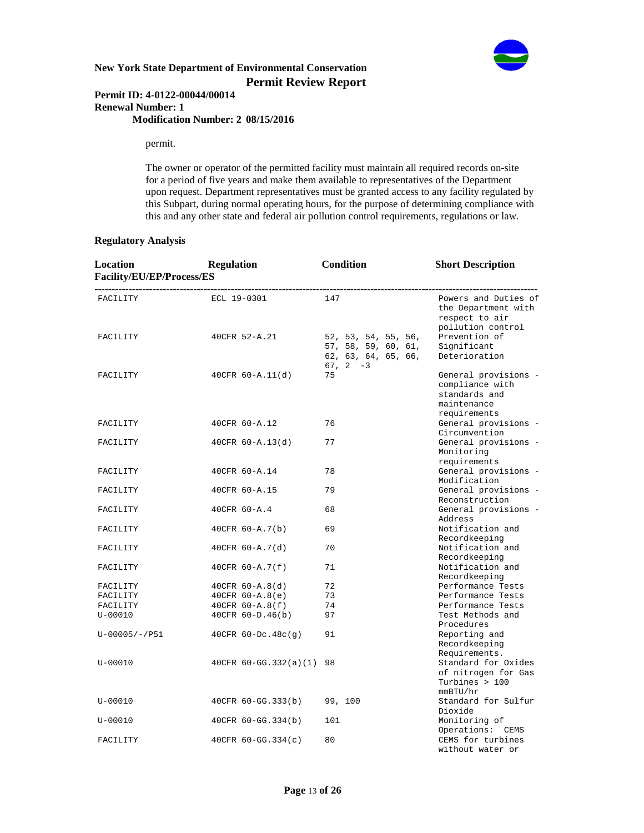

### **Permit ID: 4-0122-00044/00014 Renewal Number: 1 Modification Number: 2 08/15/2016**

permit.

 The owner or operator of the permitted facility must maintain all required records on-site for a period of five years and make them available to representatives of the Department upon request. Department representatives must be granted access to any facility regulated by this Subpart, during normal operating hours, for the purpose of determining compliance with this and any other state and federal air pollution control requirements, regulations or law.

### **Regulatory Analysis**

| Location<br>Facility/EU/EP/Process/ES | <b>Regulation</b>        | Condition                                                                       | <b>Short Description</b>                                                                |
|---------------------------------------|--------------------------|---------------------------------------------------------------------------------|-----------------------------------------------------------------------------------------|
| FACILITY                              | ECL 19-0301              | 147                                                                             | Powers and Duties of<br>the Department with<br>respect to air<br>pollution control      |
| FACILITY                              | 40CFR 52-A.21            | 52, 53, 54, 55, 56,<br>57, 58, 59, 60, 61,<br>62, 63, 64, 65, 66,<br>$67, 2 -3$ | Prevention of<br>Significant<br>Deterioration                                           |
| FACILITY                              | $40CFR 60 - A.11(d)$     | 75                                                                              | General provisions -<br>compliance with<br>standards and<br>maintenance<br>requirements |
| FACILITY                              | 40CFR 60-A.12            | 76                                                                              | General provisions -<br>Circumvention                                                   |
| FACILITY                              | $40CFR 60 - A.13(d)$     | 77                                                                              | General provisions -<br>Monitoring<br>requirements                                      |
| FACILITY                              | 40CFR 60-A.14            | 78                                                                              | General provisions -<br>Modification                                                    |
| FACILITY                              | 40CFR 60-A.15            | 79                                                                              | General provisions -<br>Reconstruction                                                  |
| FACILITY                              | 40CFR 60-A.4             | 68                                                                              | General provisions -<br>Address                                                         |
| FACILITY                              | $40CFR 60 - A.7(b)$      | 69                                                                              | Notification and<br>Recordkeeping                                                       |
| FACILITY                              | $40CFR 60 - A.7(d)$      | 70                                                                              | Notification and<br>Recordkeeping                                                       |
| FACILITY                              | 40CFR $60 - A.7(f)$      | 71                                                                              | Notification and<br>Recordkeeping                                                       |
| FACILITY                              | $40CFR 60 - A.8(d)$      | 72                                                                              | Performance Tests                                                                       |
| FACILITY                              | $40CFR 60 - A.8(e)$      | 73                                                                              | Performance Tests                                                                       |
| FACILITY                              | 40CFR 60-A.8(f)          | 74                                                                              | Performance Tests                                                                       |
| $U - 00010$                           | $40CFR 60-D.46(b)$       | 97                                                                              | Test Methods and<br>Procedures                                                          |
| $U-00005/-/P51$                       | $40CFR 60-DC.48c(g)$     | 91                                                                              | Reporting and<br>Recordkeeping<br>Requirements.                                         |
| $U - 00010$                           | 40CFR 60-GG.332(a)(1) 98 |                                                                                 | Standard for Oxides<br>of nitrogen for Gas<br>Turbines $>100$<br>mmBTU/hr               |
| $U - 00010$                           | 40CFR 60-GG.333(b)       | 99, 100                                                                         | Standard for Sulfur<br>Dioxide                                                          |
| $U - 00010$                           | 40CFR 60-GG.334(b)       | 101                                                                             | Monitoring of<br>Operations: CEMS                                                       |
| FACILITY                              | $40CFR 60-GG.334(c)$     | 80                                                                              | CEMS for turbines<br>without water or                                                   |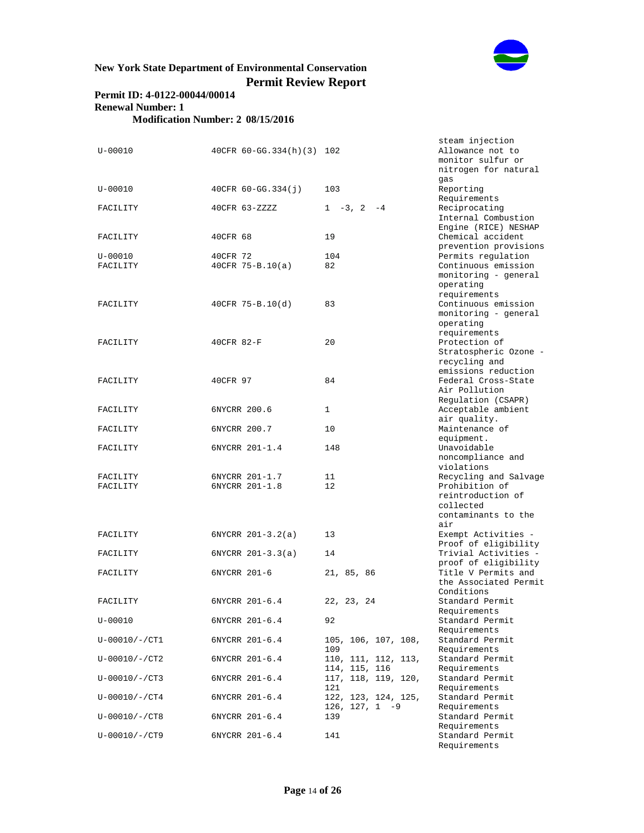

# **Permit ID: 4-0122-00044/00014 Renewal Number: 1 Modification Number: 2 08/15/2016**

| $U - 00010$           | $40CFR 60-GG.334(h)(3) 102$      |                                      | steam injection<br>Allowance not to<br>monitor sulfur or<br>nitrogen for natural<br>gas |
|-----------------------|----------------------------------|--------------------------------------|-----------------------------------------------------------------------------------------|
| $U - 00010$           | 40CFR 60-GG.334(j)               | 103                                  | Reporting                                                                               |
| FACILITY              | 40CFR 63-ZZZZ                    | $1 - 3$ , $2 - 4$                    | Requirements<br>Reciprocating<br>Internal Combustion<br>Engine (RICE) NESHAP            |
| FACILITY              | 40CFR 68                         | 19                                   | Chemical accident<br>prevention provisions                                              |
| $U - 00010$           | 40CFR 72                         | 104                                  | Permits regulation                                                                      |
| FACILITY              | $40CFR$ 75-B.10(a)               | 82                                   | Continuous emission<br>monitoring - general<br>operating<br>requirements                |
| FACILITY              | $40CFR 75-B.10(d)$               | 83                                   | Continuous emission<br>monitoring - general<br>operating<br>requirements                |
| FACILITY              | 40CFR 82-F                       | 20                                   | Protection of<br>Stratospheric Ozone -<br>recycling and<br>emissions reduction          |
| FACILITY              | 40CFR 97                         | 84                                   | Federal Cross-State<br>Air Pollution<br>Regulation (CSAPR)                              |
| FACILITY              | 6NYCRR 200.6                     | $\mathbf{1}$                         | Acceptable ambient<br>air quality.                                                      |
| FACILITY              | 6NYCRR 200.7                     | 10                                   | Maintenance of<br>equipment.                                                            |
| FACILITY              | 6NYCRR 201-1.4                   | 148                                  | Unavoidable<br>noncompliance and<br>violations                                          |
| FACILITY<br>FACILITY  | 6NYCRR 201-1.7<br>6NYCRR 201-1.8 | 11<br>12                             | Recycling and Salvage<br>Prohibition of<br>reintroduction of<br>collected               |
|                       |                                  |                                      | contaminants to the<br>air                                                              |
| FACILITY              | $6NYCRR 201-3.2(a)$              | 13                                   | Exempt Activities -<br>Proof of eligibility                                             |
| FACILITY              | $6NYCRR 201-3.3(a)$              | 14                                   | Trivial Activities -<br>proof of eligibility                                            |
| FACILITY              | 6NYCRR 201-6                     | 21, 85, 86                           | Title V Permits and<br>the Associated Permit<br>Conditions                              |
| FACILITY              | 6NYCRR 201-6.4                   | 22, 23, 24                           | Standard Permit<br>Requirements                                                         |
| U-00010               | 6NYCRR 201-6.4                   | 92                                   | Standard Permit<br>Requirements                                                         |
| $U - 00010 / - / CT1$ | 6NYCRR 201-6.4                   | 105, 106, 107, 108,<br>109           | Standard Permit<br>Requirements                                                         |
| $U-00010/-/CT2$       | 6NYCRR 201-6.4                   | 110, 111, 112, 113,<br>114, 115, 116 | Standard Permit<br>Requirements                                                         |
| $U - 00010 / - / CT3$ | 6NYCRR 201-6.4                   | 117, 118, 119, 120,<br>121           | Standard Permit<br>Requirements                                                         |
| $U-00010/-/CT4$       | 6NYCRR 201-6.4                   | 122, 123, 124, 125,                  | Standard Permit                                                                         |
| $U-00010/-/CT8$       | 6NYCRR 201-6.4                   | $126, 127, 1 -9$<br>139              | Requirements<br>Standard Permit                                                         |
| $U-00010/-/CT9$       | 6NYCRR 201-6.4                   | 141                                  | Requirements<br>Standard Permit                                                         |

Requirements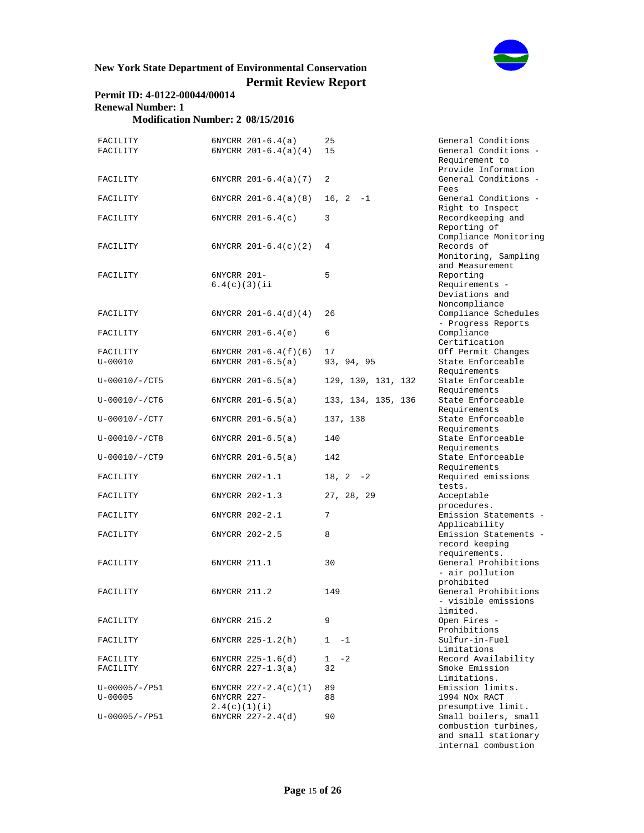

# **Permit ID: 4-0122-00044/00014 Renewal Number: 1**

**Modification Number: 2 08/15/2016**

| FACILITY<br>FACILITY                |                              | $6NYCRR 201-6.4(a)$<br>$6NYCRR 201-6.4(a)(4)$ | 25<br>15           | General Co<br>General Co<br>Requiremen               |
|-------------------------------------|------------------------------|-----------------------------------------------|--------------------|------------------------------------------------------|
|                                     |                              |                                               |                    | Provide In<br>General Co                             |
| FACILITY                            |                              | $6NYCRR 201-6.4(a)(7)$                        | 2                  | Fees                                                 |
| FACILITY                            |                              | $6NYCRR 201-6.4(a)(8)$                        | $16, 2 -1$         | General Co<br>Right to I                             |
| FACILITY                            |                              | $6NYCRR 201-6.4(c)$                           | 3                  | Recordkeep<br>Reporting                              |
| FACILITY                            |                              | $6NYCRR 201-6.4(c)(2)$                        | 4                  | Compliance<br>Records of<br>Monitoring<br>and Measur |
| FACILITY                            | 6NYCRR 201-<br>6.4(c)(3)(ii) |                                               | 5                  | Reporting<br>Requiremen<br>Deviations<br>Noncomplia  |
| FACILITY                            |                              | $6NYCRR 201-6.4(d)(4)$                        | 26                 | Compliance<br>- Progress                             |
| FACILITY                            |                              | $6NYCRR 201-6.4(e)$                           | 6                  | Compliance<br>Certificat                             |
| FACILITY                            |                              | $6NYCRR 201-6.4(f)(6)$                        | 17                 | Off Permit                                           |
| $U - 00010$                         |                              | $6NYCRR 201-6.5(a)$                           | 93, 94, 95         | State Enfo                                           |
| $U - 00010 / - / CT5$               |                              | $6NYCRR 201-6.5(a)$                           | 129, 130, 131, 132 | Requiremen<br>State Enfo<br>Requiremen               |
| $U-00010/-/CT6$                     |                              | $6NYCRR 201-6.5(a)$                           | 133, 134, 135, 136 | State Enfo<br>Requiremen                             |
| $U - 00010 / - /CT7$                |                              | $6NYCRR 201-6.5(a)$                           | 137, 138           | State Enfo<br>Requiremen                             |
| $U-00010/-/CT8$                     |                              | $6NYCRR 201-6.5(a)$                           | 140                | State Enfo<br>Requiremen                             |
| $U-00010/-/CT9$                     |                              | $6NYCRR 201-6.5(a)$                           | 142                | State Enfo<br>Requiremen                             |
| FACILITY                            |                              | 6NYCRR 202-1.1                                | $18, 2 -2$         | Required e<br>tests.                                 |
| FACILITY                            |                              | 6NYCRR 202-1.3                                | 27, 28, 29         | Acceptable<br>procedures                             |
| FACILITY                            |                              | 6NYCRR 202-2.1                                | 7                  | Emission S<br>Applicabil                             |
| FACILITY                            |                              | 6NYCRR 202-2.5                                | 8                  | Emission S<br>record kee                             |
| FACILITY                            | 6NYCRR 211.1                 |                                               | 30                 | requiremen<br>General Pr<br>- air poll               |
| FACILITY                            | 6NYCRR 211.2                 |                                               | 149                | prohibited<br>General Pr<br>- visible                |
| FACILITY                            | 6NYCRR 215.2                 |                                               | 9                  | limited.<br>Open Fires                               |
| FACILITY                            |                              | 6NYCRR 225-1.2(h)                             | 1<br>$-1$          | Prohibitio<br>Sulfur-in-<br>Limitation               |
| FACILITY<br>FACILITY                |                              | $6NYCRR 225-1.6(d)$<br>$6NYCRR 227-1.3(a)$    | $-2$<br>1<br>32    | Record Ava<br>Smoke Emis<br>Limitation               |
| $U - 00005 / - 7P51$<br>$U - 00005$ | 6NYCRR 227-                  | $6NYCRR$ 227-2.4(c)(1)                        | 89<br>88           | Emission 1<br>1994 NOx R                             |
| $U - 00005 / - 7951$                | 2.4(c)(1)(i)                 | $6NYCRR$ $227-2.4(d)$                         | 90                 | presumptiv<br>Small boil                             |

eneral Conditions eneral Conditions equirement to rovide Information eneral Conditions -Fees eneral Conditions ight to Inspect ecordkeeping and eporting of compliance Monitoring onitoring, Sampling nd Measurement eporting equirements - $\overset{\_}{\mathrm{eviations}}$  and oncompliance ompliance Schedules - Progress Reports ompliance ertification ff Permit Changes tate Enforceable equirements -<br>tate Enforceable equirements tate Enforceable equirements tate Enforceable equirements tate Enforceable Requirements tate Enforceable equirements equired emissions ests. cceptable rocedures. mission Statements -Applicability mission Statements ecord keeping equirements. eneral Prohibitions air pollution prohibited eneral Prohibitions - visible emissions limited. pen Fires rohibitions ulfur-in-Fuel Limitations ecord Availability moke Emission Limitations. mission limits. 994 NOX RACT presumptive limit. mall boilers, small combustion turbines, and small stationary internal combustion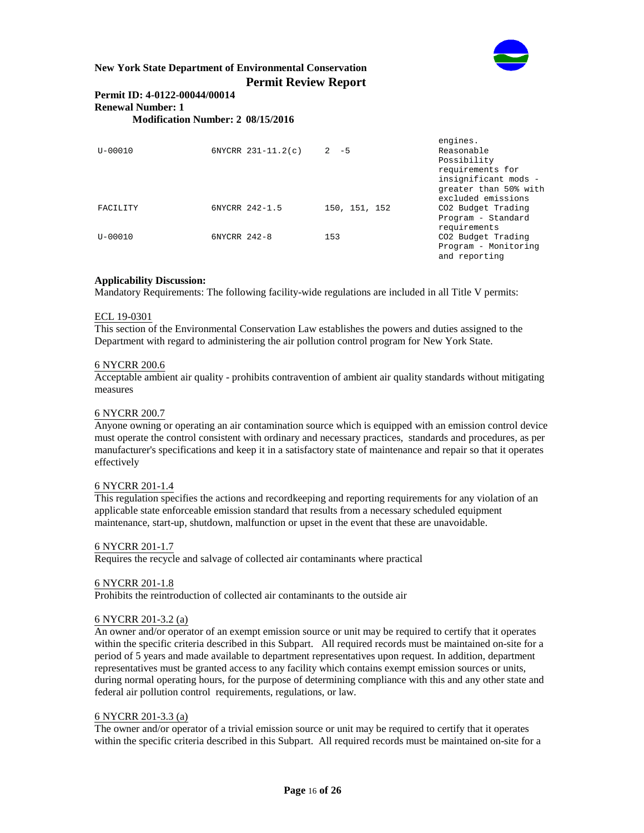

## **Permit ID: 4-0122-00044/00014 Renewal Number: 1 Modification Number: 2 08/15/2016**

engines.<br>Reasonable  $U-00010$  6NYCRR 231-11.2(c) 2 -5 Possibility requirements for insignificant mods greater than 50% with excluded emissions FACILITY 6NYCRR 242-1.5 150, 151, 152 CO2 Budget Trading Program - Standard requirements<br>CO2 Budget Trading U-00010 6NYCRR 242-8 153 Program - Monitoring and reporting

# **Applicability Discussion:**

Mandatory Requirements: The following facility-wide regulations are included in all Title V permits:

#### ECL 19-0301

This section of the Environmental Conservation Law establishes the powers and duties assigned to the Department with regard to administering the air pollution control program for New York State.

#### 6 NYCRR 200.6

Acceptable ambient air quality - prohibits contravention of ambient air quality standards without mitigating measures

### 6 NYCRR 200.7

Anyone owning or operating an air contamination source which is equipped with an emission control device must operate the control consistent with ordinary and necessary practices, standards and procedures, as per manufacturer's specifications and keep it in a satisfactory state of maintenance and repair so that it operates effectively

#### 6 NYCRR 201-1.4

This regulation specifies the actions and recordkeeping and reporting requirements for any violation of an applicable state enforceable emission standard that results from a necessary scheduled equipment maintenance, start-up, shutdown, malfunction or upset in the event that these are unavoidable.

#### 6 NYCRR 201-1.7

Requires the recycle and salvage of collected air contaminants where practical

#### 6 NYCRR 201-1.8

Prohibits the reintroduction of collected air contaminants to the outside air

#### 6 NYCRR 201-3.2 (a)

An owner and/or operator of an exempt emission source or unit may be required to certify that it operates within the specific criteria described in this Subpart. All required records must be maintained on-site for a period of 5 years and made available to department representatives upon request. In addition, department representatives must be granted access to any facility which contains exempt emission sources or units, during normal operating hours, for the purpose of determining compliance with this and any other state and federal air pollution control requirements, regulations, or law.

#### 6 NYCRR 201-3.3 (a)

The owner and/or operator of a trivial emission source or unit may be required to certify that it operates within the specific criteria described in this Subpart. All required records must be maintained on-site for a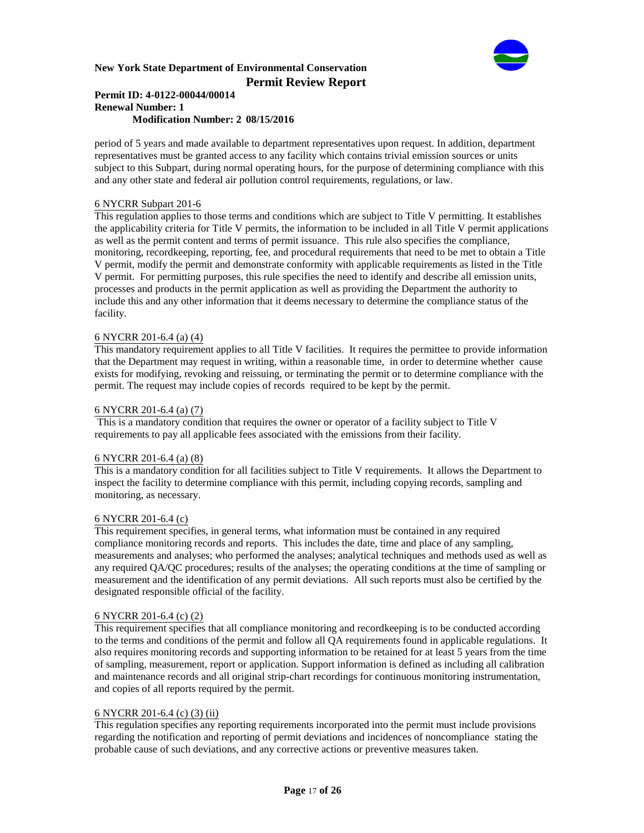

#### **Permit ID: 4-0122-00044/00014 Renewal Number: 1 Modification Number: 2 08/15/2016**

period of 5 years and made available to department representatives upon request. In addition, department representatives must be granted access to any facility which contains trivial emission sources or units subject to this Subpart, during normal operating hours, for the purpose of determining compliance with this and any other state and federal air pollution control requirements, regulations, or law.

### 6 NYCRR Subpart 201-6

This regulation applies to those terms and conditions which are subject to Title V permitting. It establishes the applicability criteria for Title V permits, the information to be included in all Title V permit applications as well as the permit content and terms of permit issuance. This rule also specifies the compliance, monitoring, recordkeeping, reporting, fee, and procedural requirements that need to be met to obtain a Title V permit, modify the permit and demonstrate conformity with applicable requirements as listed in the Title V permit. For permitting purposes, this rule specifies the need to identify and describe all emission units, processes and products in the permit application as well as providing the Department the authority to include this and any other information that it deems necessary to determine the compliance status of the facility.

### 6 NYCRR 201-6.4 (a) (4)

This mandatory requirement applies to all Title V facilities. It requires the permittee to provide information that the Department may request in writing, within a reasonable time, in order to determine whether cause exists for modifying, revoking and reissuing, or terminating the permit or to determine compliance with the permit. The request may include copies of records required to be kept by the permit.

### 6 NYCRR 201-6.4 (a) (7)

 This is a mandatory condition that requires the owner or operator of a facility subject to Title V requirements to pay all applicable fees associated with the emissions from their facility.

# 6 NYCRR 201-6.4 (a) (8)

This is a mandatory condition for all facilities subject to Title V requirements. It allows the Department to inspect the facility to determine compliance with this permit, including copying records, sampling and monitoring, as necessary.

# 6 NYCRR 201-6.4 (c)

This requirement specifies, in general terms, what information must be contained in any required compliance monitoring records and reports. This includes the date, time and place of any sampling, measurements and analyses; who performed the analyses; analytical techniques and methods used as well as any required QA/QC procedures; results of the analyses; the operating conditions at the time of sampling or measurement and the identification of any permit deviations. All such reports must also be certified by the designated responsible official of the facility.

#### 6 NYCRR 201-6.4 (c) (2)

This requirement specifies that all compliance monitoring and recordkeeping is to be conducted according to the terms and conditions of the permit and follow all QA requirements found in applicable regulations. It also requires monitoring records and supporting information to be retained for at least 5 years from the time of sampling, measurement, report or application. Support information is defined as including all calibration and maintenance records and all original strip-chart recordings for continuous monitoring instrumentation, and copies of all reports required by the permit.

#### 6 NYCRR 201-6.4 (c) (3) (ii)

This regulation specifies any reporting requirements incorporated into the permit must include provisions regarding the notification and reporting of permit deviations and incidences of noncompliance stating the probable cause of such deviations, and any corrective actions or preventive measures taken.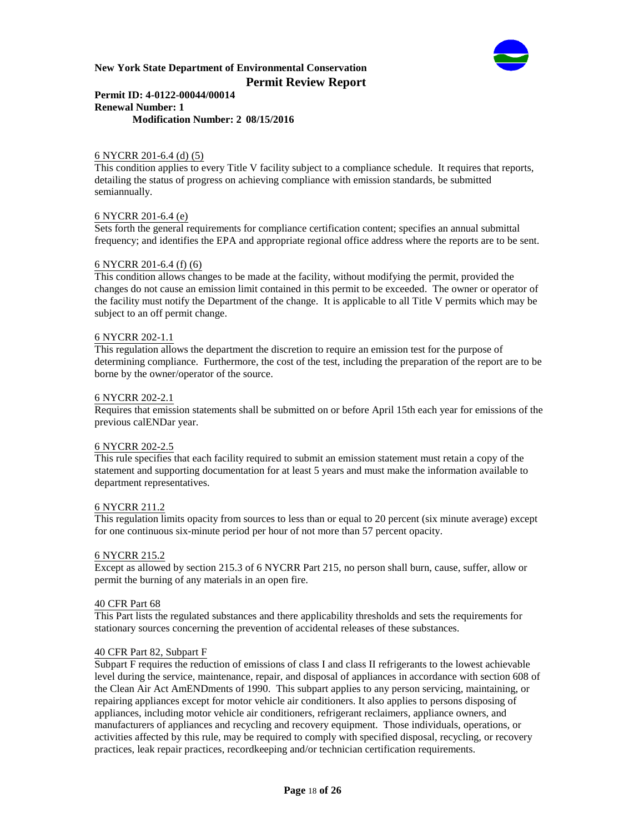

### **Permit ID: 4-0122-00044/00014 Renewal Number: 1 Modification Number: 2 08/15/2016**

### 6 NYCRR 201-6.4 (d) (5)

This condition applies to every Title V facility subject to a compliance schedule. It requires that reports, detailing the status of progress on achieving compliance with emission standards, be submitted semiannually.

### 6 NYCRR 201-6.4 (e)

Sets forth the general requirements for compliance certification content; specifies an annual submittal frequency; and identifies the EPA and appropriate regional office address where the reports are to be sent.

#### 6 NYCRR 201-6.4 (f) (6)

This condition allows changes to be made at the facility, without modifying the permit, provided the changes do not cause an emission limit contained in this permit to be exceeded. The owner or operator of the facility must notify the Department of the change. It is applicable to all Title V permits which may be subject to an off permit change.

#### 6 NYCRR 202-1.1

This regulation allows the department the discretion to require an emission test for the purpose of determining compliance. Furthermore, the cost of the test, including the preparation of the report are to be borne by the owner/operator of the source.

#### 6 NYCRR 202-2.1

Requires that emission statements shall be submitted on or before April 15th each year for emissions of the previous calENDar year.

#### 6 NYCRR 202-2.5

This rule specifies that each facility required to submit an emission statement must retain a copy of the statement and supporting documentation for at least 5 years and must make the information available to department representatives.

#### 6 NYCRR 211.2

This regulation limits opacity from sources to less than or equal to 20 percent (six minute average) except for one continuous six-minute period per hour of not more than 57 percent opacity.

#### 6 NYCRR 215.2

Except as allowed by section 215.3 of 6 NYCRR Part 215, no person shall burn, cause, suffer, allow or permit the burning of any materials in an open fire.

#### 40 CFR Part 68

This Part lists the regulated substances and there applicability thresholds and sets the requirements for stationary sources concerning the prevention of accidental releases of these substances.

#### 40 CFR Part 82, Subpart F

Subpart F requires the reduction of emissions of class I and class II refrigerants to the lowest achievable level during the service, maintenance, repair, and disposal of appliances in accordance with section 608 of the Clean Air Act AmENDments of 1990. This subpart applies to any person servicing, maintaining, or repairing appliances except for motor vehicle air conditioners. It also applies to persons disposing of appliances, including motor vehicle air conditioners, refrigerant reclaimers, appliance owners, and manufacturers of appliances and recycling and recovery equipment. Those individuals, operations, or activities affected by this rule, may be required to comply with specified disposal, recycling, or recovery practices, leak repair practices, recordkeeping and/or technician certification requirements.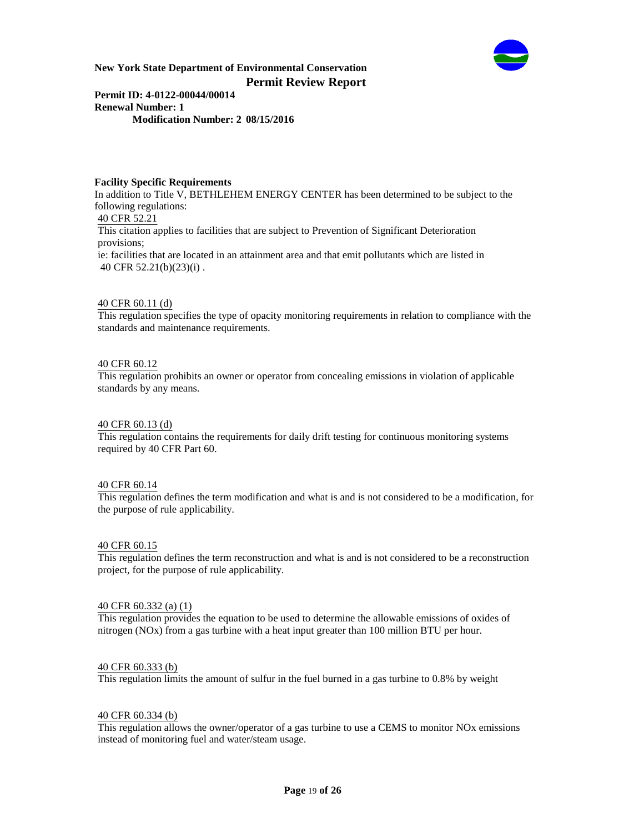

**Permit ID: 4-0122-00044/00014 Renewal Number: 1 Modification Number: 2 08/15/2016**

### **Facility Specific Requirements**

In addition to Title V, BETHLEHEM ENERGY CENTER has been determined to be subject to the following regulations: 40 CFR 52.21 This citation applies to facilities that are subject to Prevention of Significant Deterioration provisions; ie: facilities that are located in an attainment area and that emit pollutants which are listed in 40 CFR 52.21(b)(23)(i) .

### 40 CFR 60.11 (d)

This regulation specifies the type of opacity monitoring requirements in relation to compliance with the standards and maintenance requirements.

# 40 CFR 60.12

This regulation prohibits an owner or operator from concealing emissions in violation of applicable standards by any means.

#### 40 CFR 60.13 (d)

This regulation contains the requirements for daily drift testing for continuous monitoring systems required by 40 CFR Part 60.

#### 40 CFR 60.14

This regulation defines the term modification and what is and is not considered to be a modification, for the purpose of rule applicability.

#### 40 CFR 60.15

This regulation defines the term reconstruction and what is and is not considered to be a reconstruction project, for the purpose of rule applicability.

#### 40 CFR 60.332 (a) (1)

This regulation provides the equation to be used to determine the allowable emissions of oxides of nitrogen (NOx) from a gas turbine with a heat input greater than 100 million BTU per hour.

#### 40 CFR 60.333 (b)

This regulation limits the amount of sulfur in the fuel burned in a gas turbine to 0.8% by weight

#### 40 CFR 60.334 (b)

This regulation allows the owner/operator of a gas turbine to use a CEMS to monitor NOx emissions instead of monitoring fuel and water/steam usage.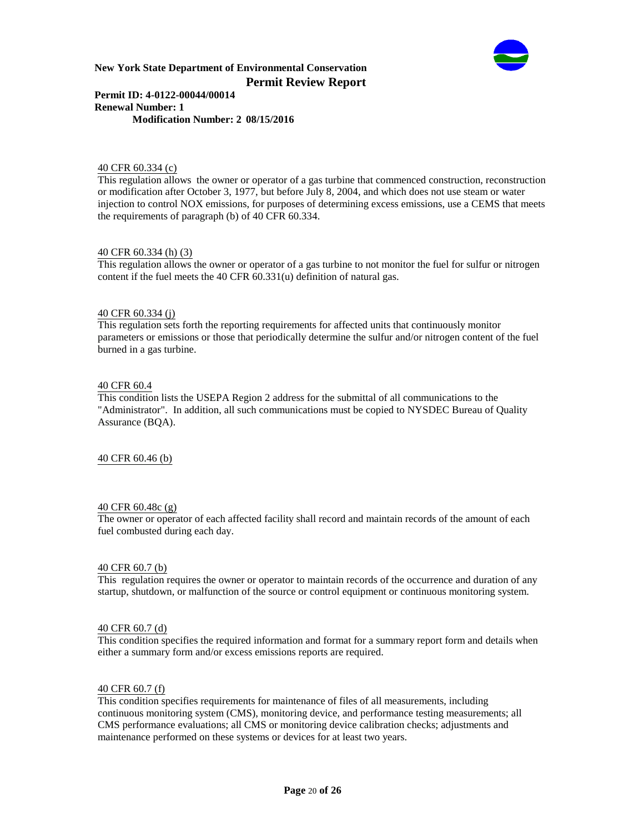

#### **Permit ID: 4-0122-00044/00014 Renewal Number: 1 Modification Number: 2 08/15/2016**

#### 40 CFR 60.334 (c)

This regulation allows the owner or operator of a gas turbine that commenced construction, reconstruction or modification after October 3, 1977, but before July 8, 2004, and which does not use steam or water injection to control NOX emissions, for purposes of determining excess emissions, use a CEMS that meets the requirements of paragraph (b) of 40 CFR 60.334.

#### 40 CFR 60.334 (h) (3)

This regulation allows the owner or operator of a gas turbine to not monitor the fuel for sulfur or nitrogen content if the fuel meets the 40 CFR 60.331(u) definition of natural gas.

#### 40 CFR 60.334 (j)

This regulation sets forth the reporting requirements for affected units that continuously monitor parameters or emissions or those that periodically determine the sulfur and/or nitrogen content of the fuel burned in a gas turbine.

#### 40 CFR 60.4

This condition lists the USEPA Region 2 address for the submittal of all communications to the "Administrator". In addition, all such communications must be copied to NYSDEC Bureau of Quality Assurance (BQA).

#### 40 CFR 60.46 (b)

#### 40 CFR 60.48c (g)

The owner or operator of each affected facility shall record and maintain records of the amount of each fuel combusted during each day.

#### 40 CFR 60.7 (b)

This regulation requires the owner or operator to maintain records of the occurrence and duration of any startup, shutdown, or malfunction of the source or control equipment or continuous monitoring system.

#### 40 CFR 60.7 (d)

This condition specifies the required information and format for a summary report form and details when either a summary form and/or excess emissions reports are required.

#### 40 CFR 60.7 (f)

This condition specifies requirements for maintenance of files of all measurements, including continuous monitoring system (CMS), monitoring device, and performance testing measurements; all CMS performance evaluations; all CMS or monitoring device calibration checks; adjustments and maintenance performed on these systems or devices for at least two years.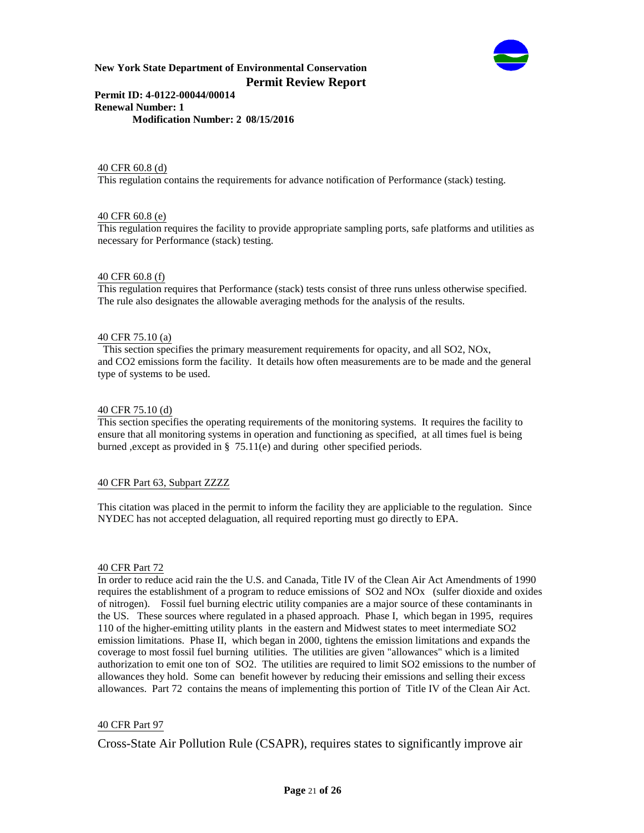

### **Permit ID: 4-0122-00044/00014 Renewal Number: 1 Modification Number: 2 08/15/2016**

#### 40 CFR 60.8 (d)

This regulation contains the requirements for advance notification of Performance (stack) testing.

#### 40 CFR 60.8 (e)

This regulation requires the facility to provide appropriate sampling ports, safe platforms and utilities as necessary for Performance (stack) testing.

#### 40 CFR 60.8 (f)

This regulation requires that Performance (stack) tests consist of three runs unless otherwise specified. The rule also designates the allowable averaging methods for the analysis of the results.

#### 40 CFR 75.10 (a)

 This section specifies the primary measurement requirements for opacity, and all SO2, NOx, and CO2 emissions form the facility. It details how often measurements are to be made and the general type of systems to be used.

#### 40 CFR 75.10 (d)

This section specifies the operating requirements of the monitoring systems. It requires the facility to ensure that all monitoring systems in operation and functioning as specified, at all times fuel is being burned ,except as provided in § 75.11(e) and during other specified periods.

#### 40 CFR Part 63, Subpart ZZZZ

This citation was placed in the permit to inform the facility they are appliciable to the regulation. Since NYDEC has not accepted delaguation, all required reporting must go directly to EPA.

#### 40 CFR Part 72

In order to reduce acid rain the the U.S. and Canada, Title IV of the Clean Air Act Amendments of 1990 requires the establishment of a program to reduce emissions of SO2 and NOx (sulfer dioxide and oxides of nitrogen). Fossil fuel burning electric utility companies are a major source of these contaminants in the US. These sources where regulated in a phased approach. Phase I, which began in 1995, requires 110 of the higher-emitting utility plants in the eastern and Midwest states to meet intermediate SO2 emission limitations. Phase II, which began in 2000, tightens the emission limitations and expands the coverage to most fossil fuel burning utilities. The utilities are given "allowances" which is a limited authorization to emit one ton of SO2. The utilities are required to limit SO2 emissions to the number of allowances they hold. Some can benefit however by reducing their emissions and selling their excess allowances. Part 72 contains the means of implementing this portion of Title IV of the Clean Air Act.

#### 40 CFR Part 97

Cross-State Air Pollution Rule (CSAPR), requires states to significantly improve air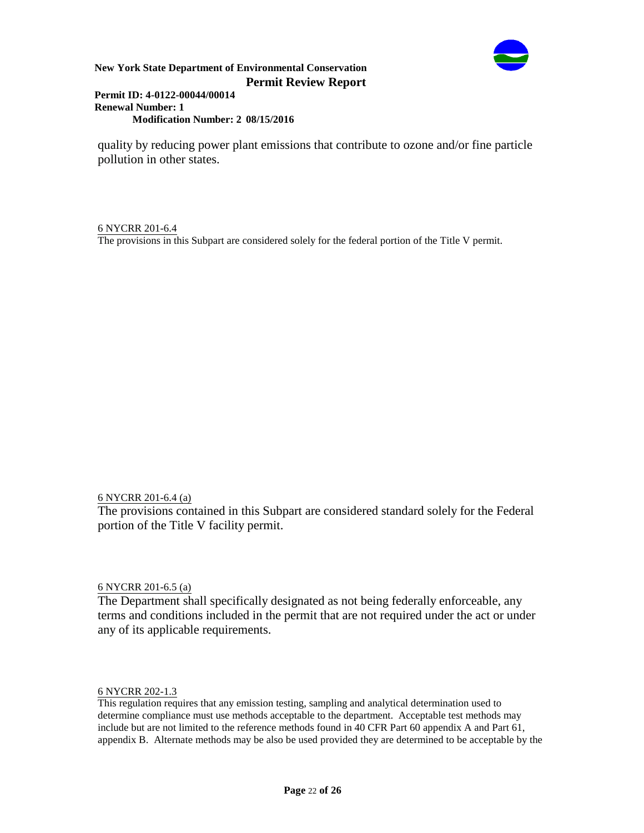

### **Permit ID: 4-0122-00044/00014 Renewal Number: 1 Modification Number: 2 08/15/2016**

quality by reducing power plant emissions that contribute to ozone and/or fine particle pollution in other states.

6 NYCRR 201-6.4 The provisions in this Subpart are considered solely for the federal portion of the Title V permit.

6 NYCRR 201-6.4 (a)

The provisions contained in this Subpart are considered standard solely for the Federal portion of the Title V facility permit.

6 NYCRR 201-6.5 (a)

The Department shall specifically designated as not being federally enforceable, any terms and conditions included in the permit that are not required under the act or under any of its applicable requirements.

6 NYCRR 202-1.3

This regulation requires that any emission testing, sampling and analytical determination used to determine compliance must use methods acceptable to the department. Acceptable test methods may include but are not limited to the reference methods found in 40 CFR Part 60 appendix A and Part 61, appendix B. Alternate methods may be also be used provided they are determined to be acceptable by the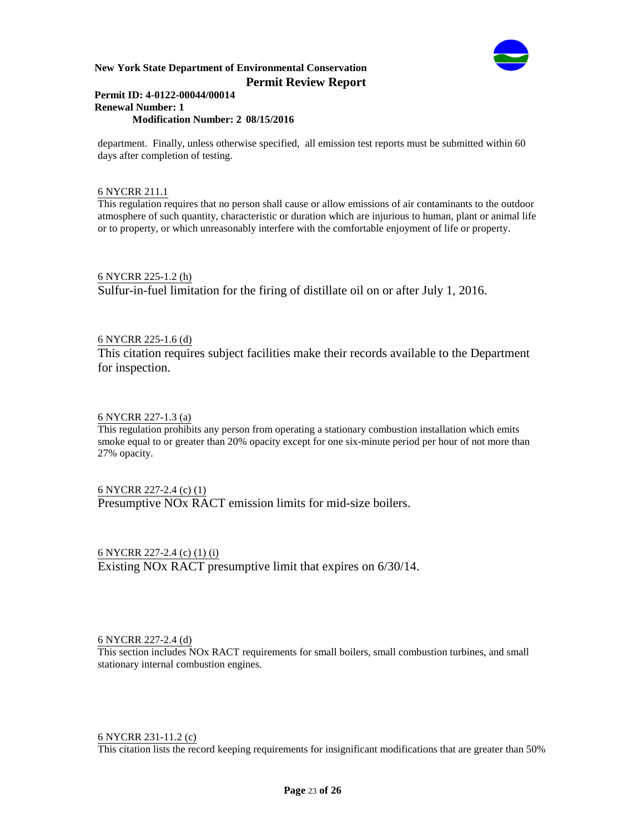

#### **Permit ID: 4-0122-00044/00014 Renewal Number: 1 Modification Number: 2 08/15/2016**

department. Finally, unless otherwise specified, all emission test reports must be submitted within 60 days after completion of testing.

## 6 NYCRR 211.1

This regulation requires that no person shall cause or allow emissions of air contaminants to the outdoor atmosphere of such quantity, characteristic or duration which are injurious to human, plant or animal life or to property, or which unreasonably interfere with the comfortable enjoyment of life or property.

6 NYCRR 225-1.2 (h) Sulfur-in-fuel limitation for the firing of distillate oil on or after July 1, 2016.

# 6 NYCRR 225-1.6 (d)

This citation requires subject facilities make their records available to the Department for inspection.

## 6 NYCRR 227-1.3 (a)

This regulation prohibits any person from operating a stationary combustion installation which emits smoke equal to or greater than 20% opacity except for one six-minute period per hour of not more than 27% opacity.

6 NYCRR 227-2.4 (c) (1) Presumptive NOx RACT emission limits for mid-size boilers.

6 NYCRR 227-2.4 (c) (1) (i) Existing NOx RACT presumptive limit that expires on 6/30/14.

### 6 NYCRR 227-2.4 (d)

This section includes NOx RACT requirements for small boilers, small combustion turbines, and small stationary internal combustion engines.

### 6 NYCRR 231-11.2 (c)

This citation lists the record keeping requirements for insignificant modifications that are greater than 50%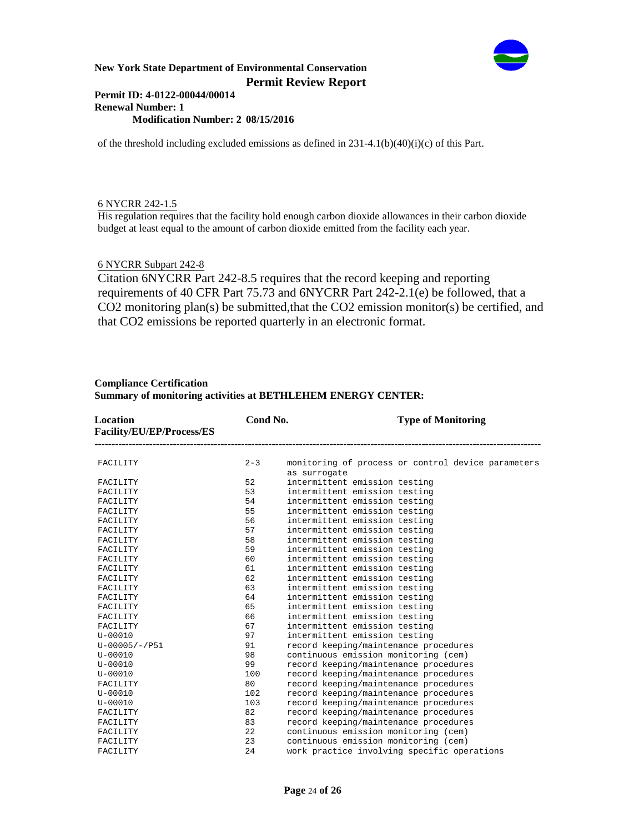

#### **Permit ID: 4-0122-00044/00014 Renewal Number: 1 Modification Number: 2 08/15/2016**

of the threshold including excluded emissions as defined in  $231-4.1(b)(40)(i)(c)$  of this Part.

### 6 NYCRR 242-1.5

His regulation requires that the facility hold enough carbon dioxide allowances in their carbon dioxide budget at least equal to the amount of carbon dioxide emitted from the facility each year.

# 6 NYCRR Subpart 242-8

Citation 6NYCRR Part 242-8.5 requires that the record keeping and reporting requirements of 40 CFR Part 75.73 and 6NYCRR Part 242-2.1(e) be followed, that a CO2 monitoring plan(s) be submitted,that the CO2 emission monitor(s) be certified, and that CO2 emissions be reported quarterly in an electronic format.

| Location<br>Facility/EU/EP/Process/ES | Cond No. | <b>Type of Monitoring</b>                                          |
|---------------------------------------|----------|--------------------------------------------------------------------|
| FACILITY                              | $2 - 3$  | monitoring of process or control device parameters<br>as surrogate |
| FACILITY                              | 52       | intermittent emission testing                                      |
| FACILITY                              | 53       | intermittent emission testing                                      |
| FACILITY                              | 54       | intermittent emission testing                                      |
| FACILITY                              | 55       | intermittent emission testing                                      |
| FACILITY                              | 56       | intermittent emission testing                                      |
| FACILITY                              | 57       | intermittent emission testing                                      |
| FACILITY                              | 58       | intermittent emission testing                                      |
| FACILITY                              | 59       | intermittent emission testing                                      |
| FACILITY                              | 60       | intermittent emission testing                                      |
| FACILITY                              | 61       | intermittent emission testing                                      |
| FACILITY                              | 62       | intermittent emission testing                                      |
| FACILITY                              | 63       | intermittent emission testing                                      |
| FACILITY                              | 64       | intermittent emission testing                                      |
| FACILITY                              | 65       | intermittent emission testing                                      |
| FACILITY                              | 66       | intermittent emission testing                                      |
| FACILITY                              | 67       | intermittent emission testing                                      |
| $U - 00010$                           | 97       | intermittent emission testing                                      |
| $U - 00005 / - 7951$                  | 91       | record keeping/maintenance procedures                              |
| $U - 00010$                           | 98       | continuous emission monitoring (cem)                               |
| $U - 00010$                           | 99       | record keeping/maintenance procedures                              |
| $U - 00010$                           | 100      | record keeping/maintenance procedures                              |
| FACILITY                              | 80       | record keeping/maintenance procedures                              |
| $U - 00010$                           | 102      | record keeping/maintenance procedures                              |
| $U - 00010$                           | 103      | record keeping/maintenance procedures                              |
| FACILITY                              | 82       | record keeping/maintenance procedures                              |
| FACILITY                              | 83       | record keeping/maintenance procedures                              |
| FACILITY                              | 22.2     | continuous emission monitoring (cem)                               |
| FACILITY                              | 23       | continuous emission monitoring (cem)                               |
| FACILITY                              | 24       | work practice involving specific operations                        |

### **Compliance Certification Summary of monitoring activities at BETHLEHEM ENERGY CENTER:**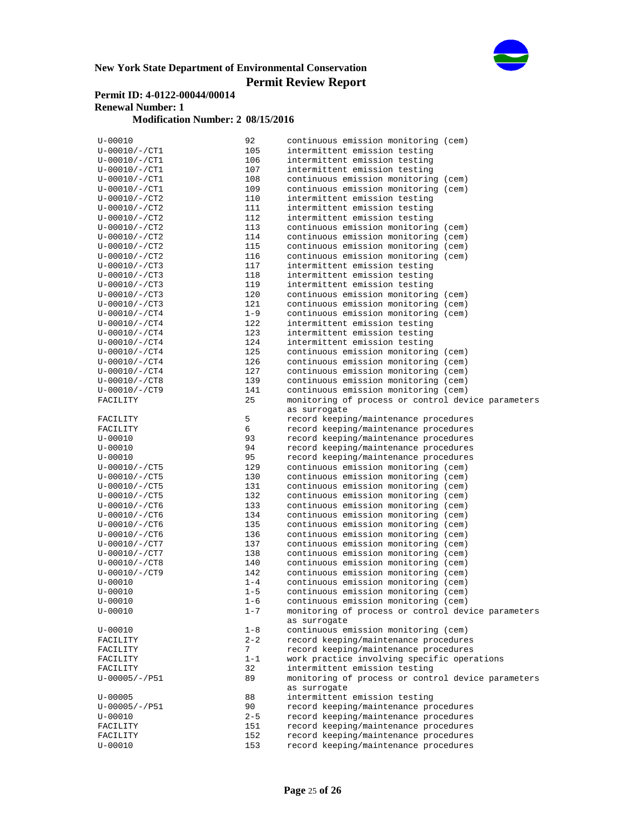

# **Permit ID: 4-0122-00044/00014 Renewal Number: 1**

# **Modification Number: 2 08/15/2016**

| $U - 00010$                | 92         | continuous emission monitoring (cem)                                                       |
|----------------------------|------------|--------------------------------------------------------------------------------------------|
| $U - 00010 / - / CT1$      | 105        | intermittent emission testing                                                              |
| $U - 00010 / - / CT1$      | 106        | intermittent emission testing                                                              |
| $U - 00010 / - CTI$        | 107        | intermittent emission testing                                                              |
| $U - 00010 / - / CT1$      | 108        | continuous emission monitoring (cem)                                                       |
| $U - 00010 / - CTI$        | 109        | continuous emission monitoring (cem)                                                       |
| $U - 00010 / - C T2$       | 110        | intermittent emission testing                                                              |
| $U-00010/-/CT2$            | 111        | intermittent emission testing                                                              |
| $U - 00010 / - / CT2$      | 112        | intermittent emission testing                                                              |
| $U-00010/-/CT2$            | 113        | continuous emission monitoring (cem)                                                       |
| $U - 00010 / - / CT2$      | 114        | continuous emission monitoring (cem)                                                       |
| $U-00010/-/CT2$            | 115        | continuous emission monitoring (cem)                                                       |
| $U - 00010 / - C T2$       | 116        | continuous emission monitoring (cem)                                                       |
| $U - 00010 / - C T3$       | 117        | intermittent emission testing                                                              |
| $U - 00010 / - / CT3$      | 118        | intermittent emission testing                                                              |
| $U - 00010 / - C T3$       | 119        | intermittent emission testing                                                              |
| $U-00010/-/CT3$            | 120        | continuous emission monitoring (cem)                                                       |
| $U - 00010 / - C T3$       | 121        | continuous emission monitoring (cem)                                                       |
| $U - 00010 / - C T4$       | $1 - 9$    | continuous emission monitoring (cem)                                                       |
| $U - 00010 / - CT4$        | 122        | intermittent emission testing                                                              |
| $U-00010/-/CT4$            | 123        | intermittent emission testing                                                              |
| $U - 00010 / - CT4$        | 124        | intermittent emission testing                                                              |
| $U - 00010 / - / CT4$      | 125        | continuous emission monitoring (cem)                                                       |
| $U-00010/-/CT4$            | 126        | continuous emission monitoring (cem)                                                       |
| $U-00010/-/CT4$            | 127        | continuous emission monitoring (cem)                                                       |
| $U-00010/-/CT8$            | 139        | continuous emission monitoring (cem)                                                       |
| $U - 00010 / - / CT9$      | 141        | continuous emission monitoring (cem)<br>monitoring of process or control device parameters |
| FACILITY                   | 25         |                                                                                            |
|                            | 5          | as surrogate<br>record keeping/maintenance procedures                                      |
| FACILITY<br>FACILITY       | 6          | record keeping/maintenance procedures                                                      |
|                            | 93         | record keeping/maintenance procedures                                                      |
| $U - 00010$<br>$U - 00010$ | 94         | record keeping/maintenance procedures                                                      |
| $U - 00010$                | 95         | record keeping/maintenance procedures                                                      |
| $U - 00010 / - / CT5$      | 129        | continuous emission monitoring (cem)                                                       |
| $U - 00010 / - / CT5$      | 130        | continuous emission monitoring (cem)                                                       |
| $U - 00010 / - C T5$       | 131        | continuous emission monitoring (cem)                                                       |
| $U - 00010 / - C T5$       | 132        | continuous emission monitoring (cem)                                                       |
| $U - 00010 / - C T6$       | 133        | continuous emission monitoring (cem)                                                       |
| $U - 00010 / - C T6$       | 134        | continuous emission monitoring (cem)                                                       |
| $U - 00010 / - C T6$       | 135        | continuous emission monitoring (cem)                                                       |
| $U - 00010 / - C T6$       | 136        | continuous emission monitoring (cem)                                                       |
| $U - 00010 / - / CT7$      | 137        | continuous emission monitoring (cem)                                                       |
| $U - 00010 / - CTT$        | 138        | continuous emission monitoring (cem)                                                       |
| $U - 00010 / - CT8$        | 140        | continuous emission monitoring (cem)                                                       |
| $U - 00010 / - C T9$       | 142        | continuous emission monitoring (cem)                                                       |
| $U - 00010$                | $1 - 4$    | continuous emission monitoring (cem)                                                       |
| $U - 00010$                | $1 - 5$    | continuous emission monitoring (cem)                                                       |
| $U - 00010$                | $1 - 6$    | continuous emission monitoring (cem)                                                       |
| $U - 00010$                | $1 - 7$    | monitoring of process or control device parameters<br>as surrogate                         |
| $U - 00010$                | $1 - 8$    | continuous emission monitoring (cem)                                                       |
| FACILITY                   | $2 - 2$    | record keeping/maintenance procedures                                                      |
| FACILITY                   | 7          | record keeping/maintenance procedures                                                      |
| FACILITY                   | $1 - 1$    | work practice involving specific operations                                                |
| FACILITY                   | 32         | intermittent emission testing                                                              |
| $U - 00005 / - 7P51$       | 89         | monitoring of process or control device parameters                                         |
|                            |            | as surrogate                                                                               |
| $U - 00005$                | 88         | intermittent emission testing                                                              |
| $U - 00005 / - 7951$       | 90         | record keeping/maintenance procedures                                                      |
| $U - 00010$                |            |                                                                                            |
|                            | $2 - 5$    | record keeping/maintenance procedures                                                      |
| FACILITY                   | 151        | record keeping/maintenance procedures                                                      |
| FACILITY<br>$U - 00010$    | 152<br>153 | record keeping/maintenance procedures<br>record keeping/maintenance procedures             |